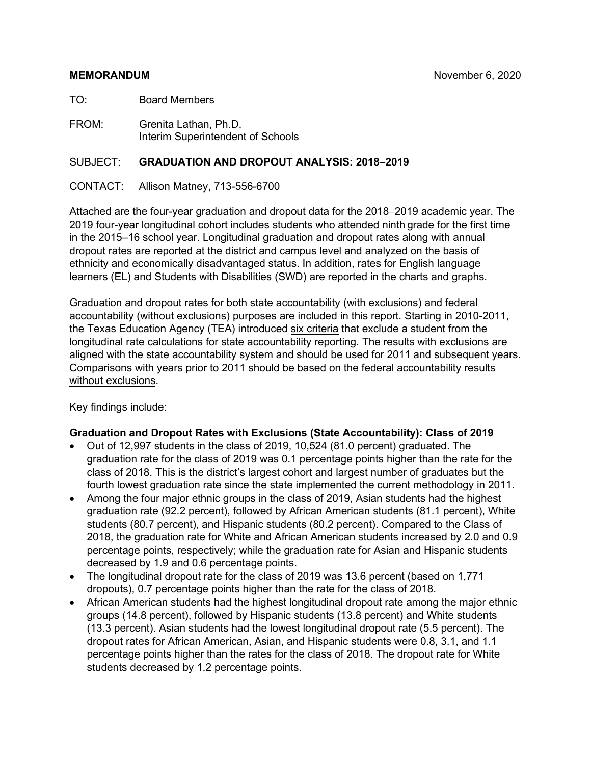#### **MEMORANDUM** November 6, 2020

TO: Board Members

FROM: Grenita Lathan, Ph.D. Interim Superintendent of Schools

#### SUBJECT: **GRADUATION AND DROPOUT ANALYSIS: 2018**−**2019**

CONTACT: Allison Matney, 713-556-6700

Attached are the four-year graduation and dropout data for the 2018−2019 academic year. The 2019 four-year longitudinal cohort includes students who attended ninth grade for the first time in the 2015–16 school year. Longitudinal graduation and dropout rates along with annual dropout rates are reported at the district and campus level and analyzed on the basis of ethnicity and economically disadvantaged status. In addition, rates for English language learners (EL) and Students with Disabilities (SWD) are reported in the charts and graphs.

Graduation and dropout rates for both state accountability (with exclusions) and federal accountability (without exclusions) purposes are included in this report. Starting in 2010-2011, the Texas Education Agency (TEA) introduced six criteria that exclude a student from the longitudinal rate calculations for state accountability reporting. The results with exclusions are aligned with the state accountability system and should be used for 2011 and subsequent years. Comparisons with years prior to 2011 should be based on the federal accountability results without exclusions.

Key findings include:

#### **Graduation and Dropout Rates with Exclusions (State Accountability): Class of 2019**

- Out of 12,997 students in the class of 2019, 10,524 (81.0 percent) graduated. The graduation rate for the class of 2019 was 0.1 percentage points higher than the rate for the class of 2018. This is the district's largest cohort and largest number of graduates but the fourth lowest graduation rate since the state implemented the current methodology in 2011.
- Among the four major ethnic groups in the class of 2019, Asian students had the highest graduation rate (92.2 percent), followed by African American students (81.1 percent), White students (80.7 percent), and Hispanic students (80.2 percent). Compared to the Class of 2018, the graduation rate for White and African American students increased by 2.0 and 0.9 percentage points, respectively; while the graduation rate for Asian and Hispanic students decreased by 1.9 and 0.6 percentage points.
- The longitudinal dropout rate for the class of 2019 was 13.6 percent (based on 1,771 dropouts), 0.7 percentage points higher than the rate for the class of 2018.
- African American students had the highest longitudinal dropout rate among the major ethnic groups (14.8 percent), followed by Hispanic students (13.8 percent) and White students (13.3 percent). Asian students had the lowest longitudinal dropout rate (5.5 percent). The dropout rates for African American, Asian, and Hispanic students were 0.8, 3.1, and 1.1 percentage points higher than the rates for the class of 2018. The dropout rate for White students decreased by 1.2 percentage points.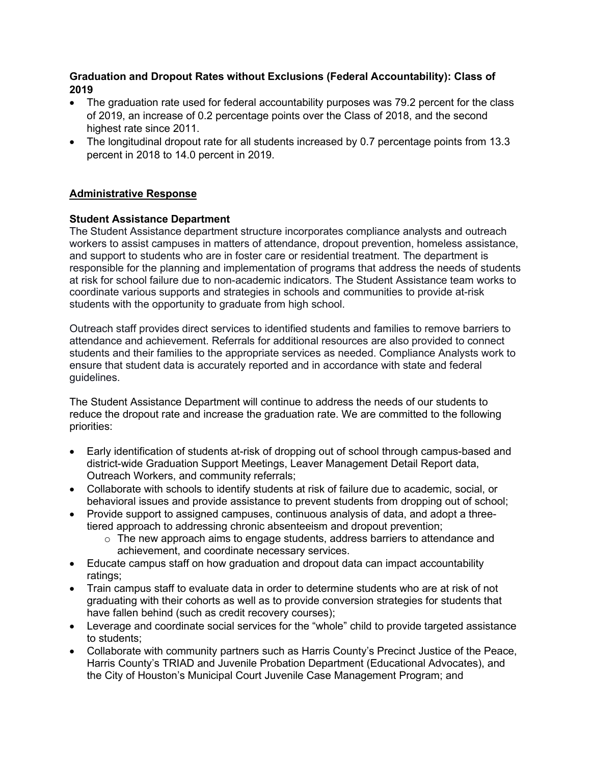#### **Graduation and Dropout Rates without Exclusions (Federal Accountability): Class of 2019**

- The graduation rate used for federal accountability purposes was 79.2 percent for the class of 2019, an increase of 0.2 percentage points over the Class of 2018, and the second highest rate since 2011.
- The longitudinal dropout rate for all students increased by 0.7 percentage points from 13.3 percent in 2018 to 14.0 percent in 2019.

#### **Administrative Response**

#### **Student Assistance Department**

The Student Assistance department structure incorporates compliance analysts and outreach workers to assist campuses in matters of attendance, dropout prevention, homeless assistance, and support to students who are in foster care or residential treatment. The department is responsible for the planning and implementation of programs that address the needs of students at risk for school failure due to non-academic indicators. The Student Assistance team works to coordinate various supports and strategies in schools and communities to provide at-risk students with the opportunity to graduate from high school.

Outreach staff provides direct services to identified students and families to remove barriers to attendance and achievement. Referrals for additional resources are also provided to connect students and their families to the appropriate services as needed. Compliance Analysts work to ensure that student data is accurately reported and in accordance with state and federal guidelines.

The Student Assistance Department will continue to address the needs of our students to reduce the dropout rate and increase the graduation rate. We are committed to the following priorities:

- Early identification of students at-risk of dropping out of school through campus-based and district-wide Graduation Support Meetings, Leaver Management Detail Report data, Outreach Workers, and community referrals;
- Collaborate with schools to identify students at risk of failure due to academic, social, or behavioral issues and provide assistance to prevent students from dropping out of school;
- Provide support to assigned campuses, continuous analysis of data, and adopt a threetiered approach to addressing chronic absenteeism and dropout prevention;
	- $\circ$  The new approach aims to engage students, address barriers to attendance and achievement, and coordinate necessary services.
- Educate campus staff on how graduation and dropout data can impact accountability ratings;
- Train campus staff to evaluate data in order to determine students who are at risk of not graduating with their cohorts as well as to provide conversion strategies for students that have fallen behind (such as credit recovery courses);
- Leverage and coordinate social services for the "whole" child to provide targeted assistance to students;
- Collaborate with community partners such as Harris County's Precinct Justice of the Peace, Harris County's TRIAD and Juvenile Probation Department (Educational Advocates), and the City of Houston's Municipal Court Juvenile Case Management Program; and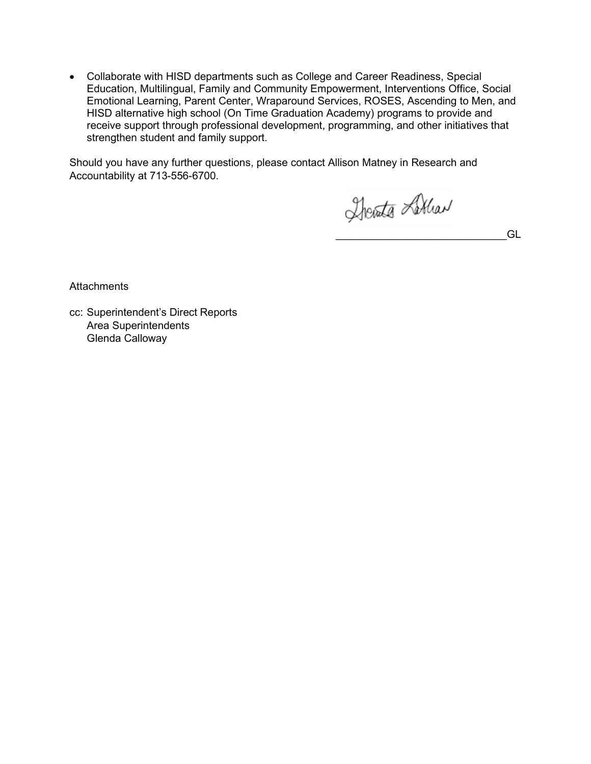• Collaborate with HISD departments such as College and Career Readiness, Special Education, Multilingual, Family and Community Empowerment, Interventions Office, Social Emotional Learning, Parent Center, Wraparound Services, ROSES, Ascending to Men, and HISD alternative high school (On Time Graduation Academy) programs to provide and receive support through professional development, programming, and other initiatives that strengthen student and family support.

Should you have any further questions, please contact Allison Matney in Research and Accountability at 713-556-6700.

Therate Lither

\_\_\_\_\_\_\_\_\_\_\_\_\_\_\_\_\_\_\_\_\_\_\_\_\_\_\_\_\_GL

**Attachments** 

cc: Superintendent's Direct Reports Area Superintendents Glenda Calloway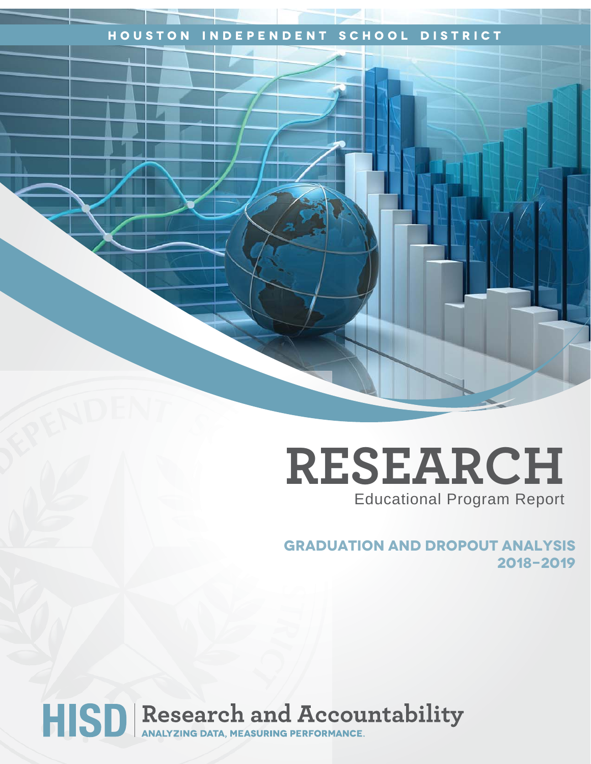## **Houston Independent School District**

## **RESEARCH** Educational Program Report

**Graduation and dropout analysis 2018-2019**

# HISD Research and Accountability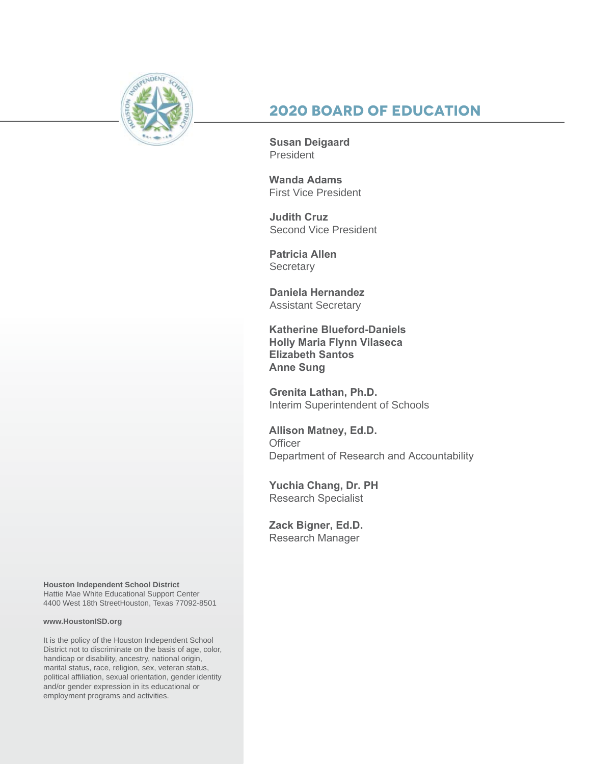

## **2020 Board of Education**

**Susan Deigaard** President

**Wanda Adams** First Vice President

**Judith Cruz**  Second Vice President

**Patricia Allen Secretary** 

**Daniela Hernandez** Assistant Secretary

**Katherine Blueford-Daniels Holly Maria Flynn Vilaseca Elizabeth Santos Anne Sung**

**Grenita Lathan, Ph.D.**  Interim Superintendent of Schools

**Allison Matney, Ed.D. Officer** Department of Research and Accountability

**Yuchia Chang, Dr. PH**  Research Specialist

**Zack Bigner, Ed.D.**  Research Manager

**Houston Independent School District** Hattie Mae White Educational Support Center 4400 West 18th StreetHouston, Texas 77092-8501

#### **www.HoustonISD.org**

It is the policy of the Houston Independent School District not to discriminate on the basis of age, color, handicap or disability, ancestry, national origin, marital status, race, religion, sex, veteran status, political affiliation, sexual orientation, gender identity and/or gender expression in its educational or employment programs and activities.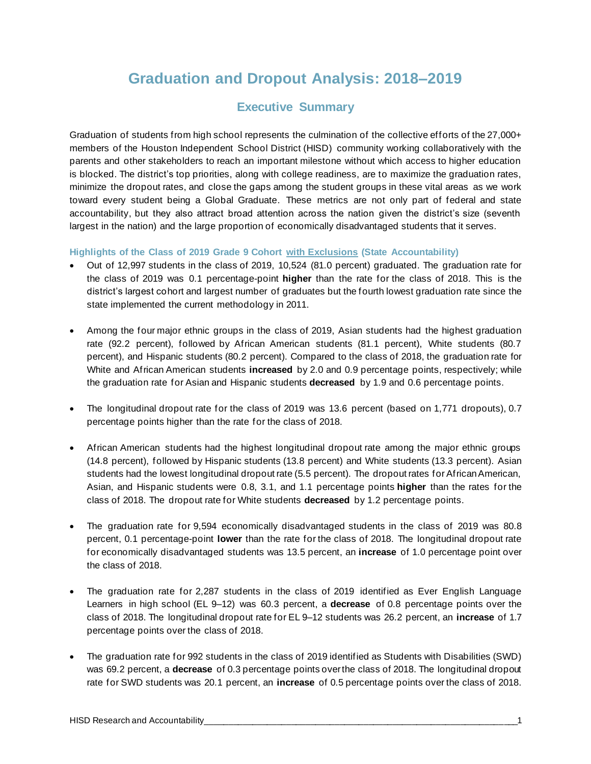## **Graduation and Dropout Analysis: 2018–2019**

## **Executive Summary**

Graduation of students from high school represents the culmination of the collective efforts of the 27,000+ members of the Houston Independent School District (HISD) community working collaboratively with the parents and other stakeholders to reach an important milestone without which access to higher education is blocked. The district's top priorities, along with college readiness, are to maximize the graduation rates, minimize the dropout rates, and close the gaps among the student groups in these vital areas as we work toward every student being a Global Graduate. These metrics are not only part of federal and state accountability, but they also attract broad attention across the nation given the district's size (seventh largest in the nation) and the large proportion of economically disadvantaged students that it serves.

**Highlights of the Class of 2019 Grade 9 Cohort with Exclusions (State Accountability)**

- Out of 12,997 students in the class of 2019, 10,524 (81.0 percent) graduated. The graduation rate for the class of 2019 was 0.1 percentage-point **higher** than the rate for the class of 2018. This is the district's largest cohort and largest number of graduates but the fourth lowest graduation rate since the state implemented the current methodology in 2011.
- Among the four major ethnic groups in the class of 2019, Asian students had the highest graduation rate (92.2 percent), followed by African American students (81.1 percent), White students (80.7 percent), and Hispanic students (80.2 percent). Compared to the class of 2018, the graduation rate for White and African American students **increased** by 2.0 and 0.9 percentage points, respectively; while the graduation rate for Asian and Hispanic students **decreased** by 1.9 and 0.6 percentage points.
- The longitudinal dropout rate for the class of 2019 was 13.6 percent (based on 1,771 dropouts), 0.7 percentage points higher than the rate for the class of 2018.
- African American students had the highest longitudinal dropout rate among the major ethnic groups (14.8 percent), followed by Hispanic students (13.8 percent) and White students (13.3 percent). Asian students had the lowest longitudinal dropout rate (5.5 percent). The dropout rates for African American, Asian, and Hispanic students were 0.8, 3.1, and 1.1 percentage points **higher** than the rates for the class of 2018. The dropout rate for White students **decreased** by 1.2 percentage points.
- The graduation rate for 9,594 economically disadvantaged students in the class of 2019 was 80.8 percent, 0.1 percentage-point **lower** than the rate for the class of 2018. The longitudinal dropout rate for economically disadvantaged students was 13.5 percent, an **increase** of 1.0 percentage point over the class of 2018.
- The graduation rate for 2,287 students in the class of 2019 identified as Ever English Language Learners in high school (EL 9–12) was 60.3 percent, a **decrease** of 0.8 percentage points over the class of 2018. The longitudinal dropout rate for EL 9–12 students was 26.2 percent, an **increase** of 1.7 percentage points over the class of 2018.
- The graduation rate for 992 students in the class of 2019 identified as Students with Disabilities (SWD) was 69.2 percent, a **decrease** of 0.3 percentage points over the class of 2018. The longitudinal dropout rate for SWD students was 20.1 percent, an **increase** of 0.5 percentage points over the class of 2018.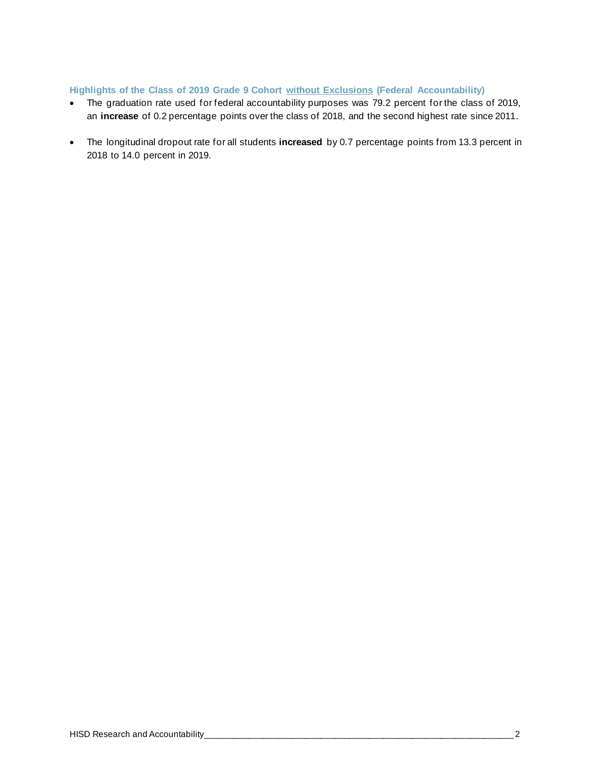#### **Highlights of the Class of 2019 Grade 9 Cohort without Exclusions (Federal Accountability)**

- The graduation rate used for federal accountability purposes was 79.2 percent for the class of 2019, an **increase** of 0.2 percentage points over the class of 2018, and the second highest rate since 2011.
- The longitudinal dropout rate for all students **increased** by 0.7 percentage points from 13.3 percent in 2018 to 14.0 percent in 2019.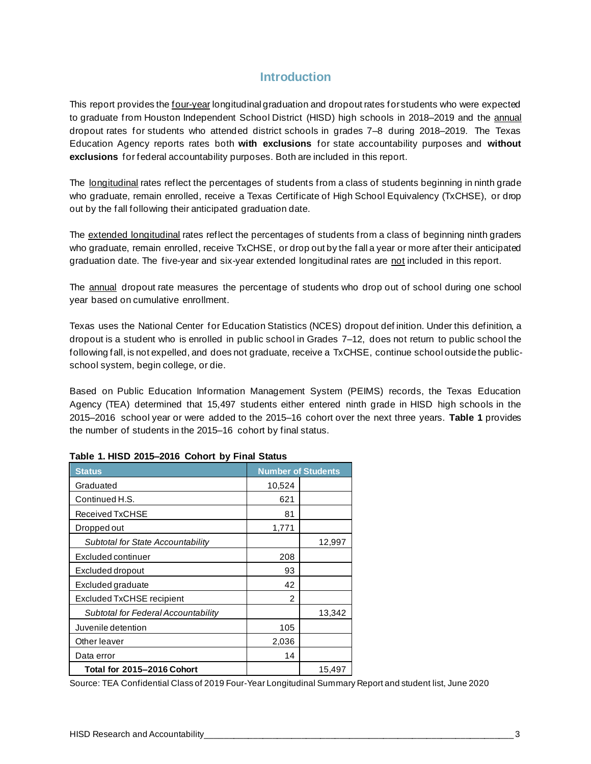### **Introduction**

This report provides the four-year longitudinal graduation and dropout rates for students who were expected to graduate from Houston Independent School District (HISD) high schools in 2018–2019 and the annual dropout rates for students who attended district schools in grades 7–8 during 2018–2019. The Texas Education Agency reports rates both **with exclusions** for state accountability purposes and **without exclusions** for federal accountability purposes. Both are included in this report.

The longitudinal rates reflect the percentages of students from a class of students beginning in ninth grade who graduate, remain enrolled, receive a Texas Certificate of High School Equivalency (TxCHSE), or drop out by the fall following their anticipated graduation date.

The extended longitudinal rates reflect the percentages of students from a class of beginning ninth graders who graduate, remain enrolled, receive TxCHSE, or drop out by the fall a year or more after their anticipated graduation date. The five-year and six-year extended longitudinal rates are not included in this report.

The annual dropout rate measures the percentage of students who drop out of school during one school year based on cumulative enrollment.

Texas uses the National Center for Education Statistics (NCES) dropout def inition. Under this definition, a dropout is a student who is enrolled in public school in Grades 7–12, does not return to public school the following fall, is not expelled, and does not graduate, receive a TxCHSE, continue school outside the publicschool system, begin college, or die.

Based on Public Education Information Management System (PEIMS) records, the Texas Education Agency (TEA) determined that 15,497 students either entered ninth grade in HISD high schools in the 2015–2016 school year or were added to the 2015–16 cohort over the next three years. **Table 1** provides the number of students in the 2015–16 cohort by final status.

| <b>Status</b>                       | <b>Number of Students</b> |        |
|-------------------------------------|---------------------------|--------|
| Graduated                           | 10,524                    |        |
| Continued H.S.                      | 621                       |        |
| Received TxCHSE                     | 81                        |        |
| Dropped out                         | 1,771                     |        |
| Subtotal for State Accountability   |                           | 12,997 |
| Excluded continuer                  | 208                       |        |
| Excluded dropout                    | 93                        |        |
| Excluded graduate                   | 42                        |        |
| Excluded TxCHSE recipient           | 2                         |        |
| Subtotal for Federal Accountability |                           | 13,342 |
| Juvenile detention                  | 105                       |        |
| Other leaver                        | 2,036                     |        |
| Data error                          | 14                        |        |
| Total for 2015-2016 Cohort          |                           | 15,497 |

#### **Table 1. HISD 2015–2016 Cohort by Final Status**

Source: TEA Confidential Class of 2019 Four-Year Longitudinal Summary Report and student list, June 2020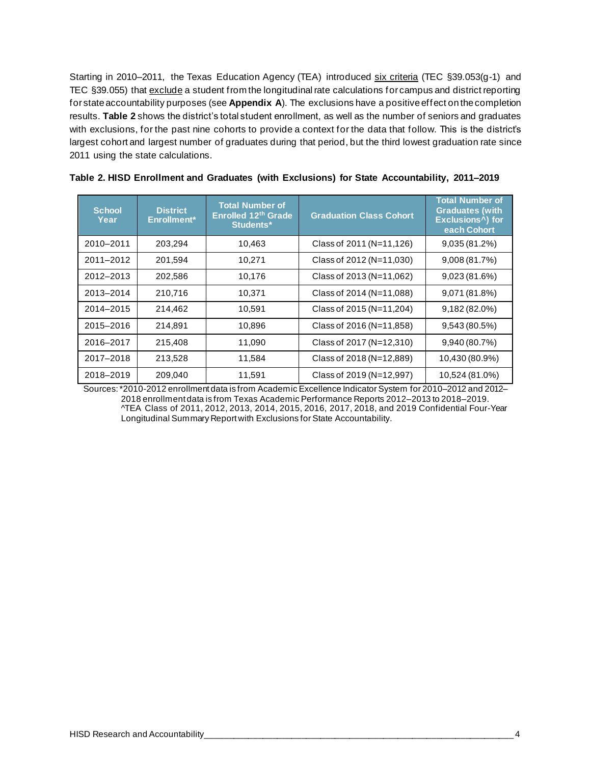Starting in 2010–2011, the Texas Education Agency (TEA) introduced six criteria (TEC §39.053(g-1) and TEC §39.055) that exclude a student from the longitudinal rate calculations for campus and district reporting for state accountability purposes (see **Appendix A**). The exclusions have a positive effect on the completion results. **Table 2** shows the district's total student enrollment, as well as the number of seniors and graduates with exclusions, for the past nine cohorts to provide a context for the data that follow. This is the district's largest cohort and largest number of graduates during that period, but the third lowest graduation rate since 2011 using the state calculations.

| School,<br>Year | <b>District</b><br>Enrollment* | <b>Total Number of</b><br>Enrolled 12th Grade<br>Students* | <b>Graduation Class Cohort</b> | <b>Total Number of</b><br><b>Graduates (with</b><br>Exclusions <sup>^</sup> ) for<br>each Cohort |
|-----------------|--------------------------------|------------------------------------------------------------|--------------------------------|--------------------------------------------------------------------------------------------------|
| 2010-2011       | 203,294                        | 10,463                                                     | Class of 2011 (N=11,126)       | 9,035 (81.2%)                                                                                    |
| 2011-2012       | 201,594                        | 10,271                                                     | Class of 2012 (N=11,030)       | 9,008(81.7%)                                                                                     |
| 2012-2013       | 202,586                        | 10,176                                                     | Class of 2013 (N=11,062)       | 9,023(81.6%)                                                                                     |
| 2013-2014       | 210,716                        | 10,371                                                     | Class of 2014 (N=11,088)       | 9,071 (81.8%)                                                                                    |
| 2014-2015       | 214,462                        | 10,591                                                     | Class of 2015 (N=11,204)       | 9,182 (82.0%)                                                                                    |
| 2015-2016       | 214,891                        | 10,896                                                     | Class of 2016 (N=11,858)       | 9,543 (80.5%)                                                                                    |
| 2016-2017       | 215,408                        | 11,090                                                     | Class of 2017 (N=12,310)       | 9,940 (80.7%)                                                                                    |
| 2017-2018       | 213,528                        | 11,584                                                     | Class of 2018 (N=12,889)       | 10,430 (80.9%)                                                                                   |
| 2018-2019       | 209,040                        | 11,591                                                     | Class of 2019 (N=12,997)       | 10,524 (81.0%)                                                                                   |

| Table 2. HISD Enrollment and Graduates (with Exclusions) for State Accountability, 2011–2019 |  |  |  |
|----------------------------------------------------------------------------------------------|--|--|--|
|----------------------------------------------------------------------------------------------|--|--|--|

Sources: \*2010-2012 enrollment data is from Academic Excellence Indicator System for 2010–2012 and 2012– 2018 enrollment data is from Texas Academic Performance Reports 2012–2013 to 2018–2019. ^TEA Class of 2011, 2012, 2013, 2014, 2015, 2016, 2017, 2018, and 2019 Confidential Four-Year Longitudinal Summary Report with Exclusions for State Accountability.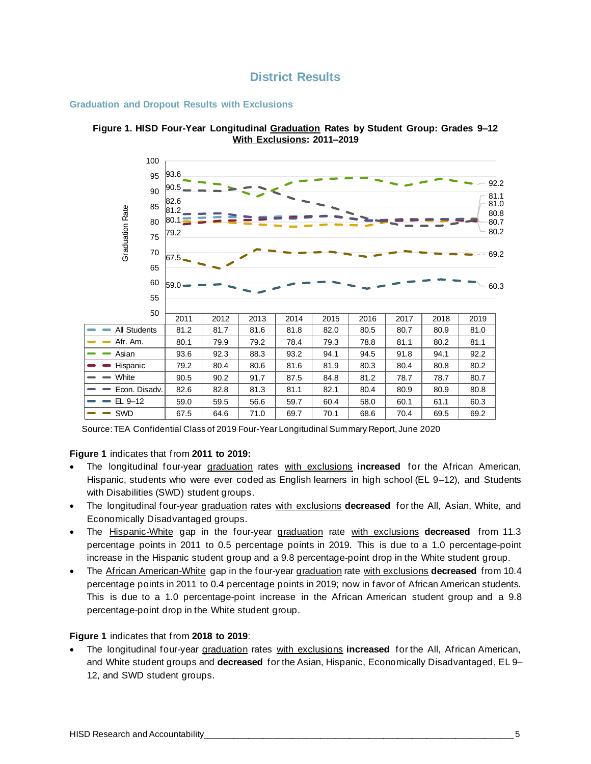

#### **Graduation and Dropout Results with Exclusions**





Source: TEA Confidential Class of 2019 Four-Year Longitudinal Summary Report, June 2020

#### **Figure 1** indicates that from **2011 to 2019:**

- The longitudinal four-year graduation rates with exclusions **increased** for the African American, Hispanic, students who were ever coded as English learners in high school (EL 9–12), and Students with Disabilities (SWD) student groups.
- The longitudinal four-year graduation rates with exclusions **decreased** for the All, Asian, White, and Economically Disadvantaged groups.
- The Hispanic-White gap in the four-year graduation rate with exclusions **decreased** from 11.3 percentage points in 2011 to 0.5 percentage points in 2019. This is due to a 1.0 percentage-point increase in the Hispanic student group and a 9.8 percentage-point drop in the White student group.
- The African American-White gap in the four-year graduation rate with exclusions **decreased** from 10.4 percentage points in 2011 to 0.4 percentage points in 2019; now in favor of African American students. This is due to a 1.0 percentage-point increase in the African American student group and a 9.8 percentage-point drop in the White student group.

#### **Figure 1** indicates that from **2018 to 2019**:

• The longitudinal four-year graduation rates with exclusions **increased** for the All, African American, and White student groups and **decreased** for the Asian, Hispanic, Economically Disadvantaged, EL 9– 12, and SWD student groups.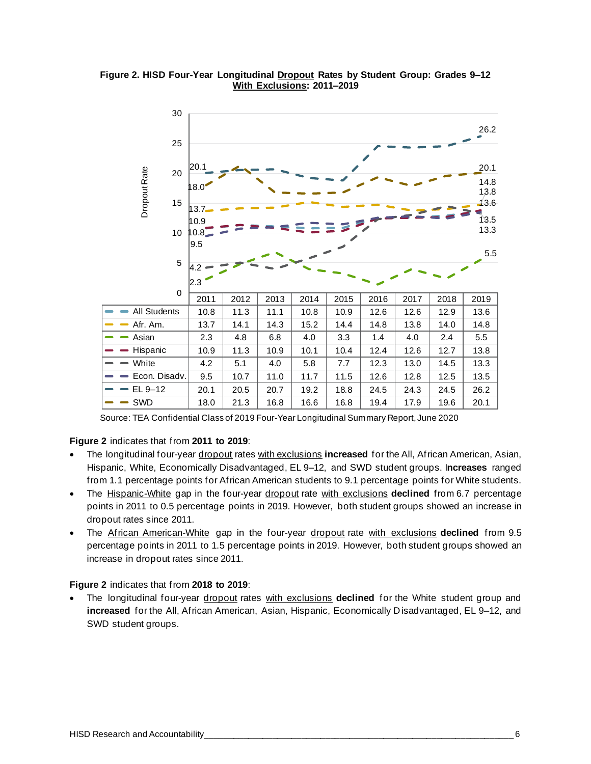**Figure 2. HISD Four-Year Longitudinal Dropout Rates by Student Group: Grades 9–12 With Exclusions: 2011–2019** 



Source: TEA Confidential Class of 2019 Four-Year Longitudinal Summary Report, June 2020

#### **Figure 2** indicates that from **2011 to 2019**:

- The longitudinal four-year dropout rates with exclusions **increased** for the All, African American, Asian, Hispanic, White, Economically Disadvantaged, EL 9–12, and SWD student groups. I**ncreases** ranged from 1.1 percentage points for African American students to 9.1 percentage points for White students.
- The Hispanic-White gap in the four-year dropout rate with exclusions **declined** from 6.7 percentage points in 2011 to 0.5 percentage points in 2019. However, both student groups showed an increase in dropout rates since 2011.
- The African American-White gap in the four-year dropout rate with exclusions **declined** from 9.5 percentage points in 2011 to 1.5 percentage points in 2019. However, both student groups showed an increase in dropout rates since 2011.

#### **Figure 2** indicates that from **2018 to 2019**:

• The longitudinal four-year dropout rates with exclusions **declined** for the White student group and **increased** for the All, African American, Asian, Hispanic, Economically Disadvantaged, EL 9–12, and SWD student groups.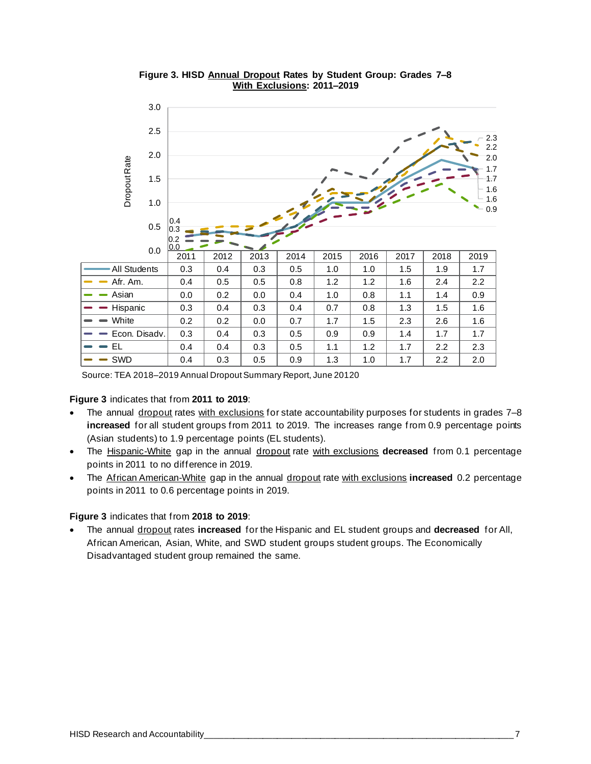

**Figure 3. HISD Annual Dropout Rates by Student Group: Grades 7–8 With Exclusions: 2011–2019**

Source: TEA 2018–2019 Annual Dropout Summary Report, June 20120

#### **Figure 3** indicates that from **2011 to 2019**:

- The annual dropout rates with exclusions for state accountability purposes for students in grades 7-8 **increased** for all student groups from 2011 to 2019. The increases range from 0.9 percentage points (Asian students) to 1.9 percentage points (EL students).
- The Hispanic-White gap in the annual dropout rate with exclusions **decreased** from 0.1 percentage points in 2011 to no difference in 2019.
- The African American-White gap in the annual dropout rate with exclusions **increased** 0.2 percentage points in 2011 to 0.6 percentage points in 2019.

#### **Figure 3** indicates that from **2018 to 2019**:

• The annual dropout rates **increased** for the Hispanic and EL student groups and **decreased** for All, African American, Asian, White, and SWD student groups student groups. The Economically Disadvantaged student group remained the same.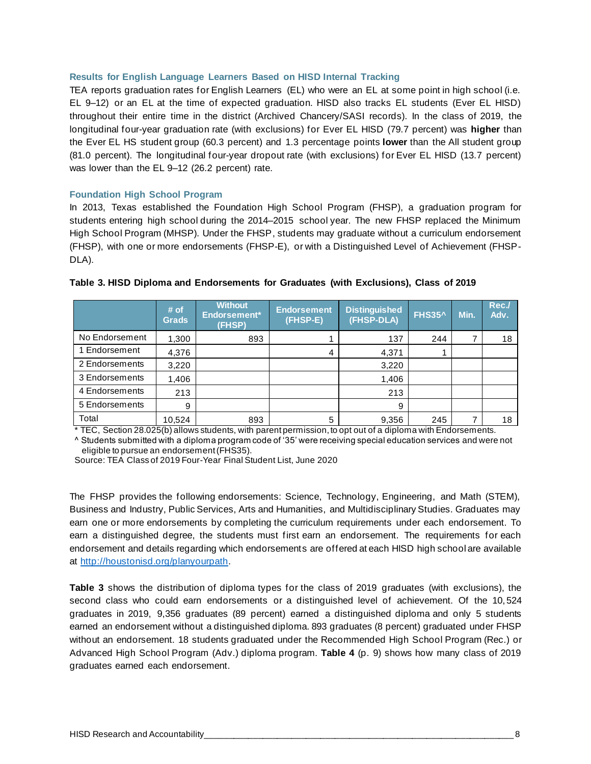#### **Results for English Language Learners Based on HISD Internal Tracking**

TEA reports graduation rates for English Learners (EL) who were an EL at some point in high school (i.e. EL 9–12) or an EL at the time of expected graduation. HISD also tracks EL students (Ever EL HISD) throughout their entire time in the district (Archived Chancery/SASI records). In the class of 2019, the longitudinal four-year graduation rate (with exclusions) for Ever EL HISD (79.7 percent) was **higher** than the Ever EL HS student group (60.3 percent) and 1.3 percentage points **lower** than the All student group (81.0 percent). The longitudinal four-year dropout rate (with exclusions) for Ever EL HISD (13.7 percent) was lower than the EL 9–12 (26.2 percent) rate.

#### **Foundation High School Program**

In 2013, Texas established the Foundation High School Program (FHSP), a graduation program for students entering high school during the 2014–2015 school year. The new FHSP replaced the Minimum High School Program (MHSP). Under the FHSP, students may graduate without a curriculum endorsement (FHSP), with one or more endorsements (FHSP-E), or with a Distinguished Level of Achievement (FHSP-DLA).

|                | # of<br><b>Grads</b> | <b>Without</b><br>Endorsement*<br>(FHSP) | <b>Endorsement</b><br>(FHSP-E) | <b>Distinguished</b><br>(FHSP-DLA) | <b>FHS35^</b> | Min. | Rec./<br>Adv. |
|----------------|----------------------|------------------------------------------|--------------------------------|------------------------------------|---------------|------|---------------|
| No Endorsement | 1,300                | 893                                      |                                | 137                                | 244           |      | 18            |
| Endorsement    | 4,376                |                                          | 4                              | 4,371                              |               |      |               |
| 2 Endorsements | 3,220                |                                          |                                | 3,220                              |               |      |               |
| 3 Endorsements | 1,406                |                                          |                                | 1,406                              |               |      |               |
| 4 Endorsements | 213                  |                                          |                                | 213                                |               |      |               |
| 5 Endorsements | 9                    |                                          |                                | 9                                  |               |      |               |
| Total          | 10,524               | 893                                      | 5                              | 9,356                              | 245           |      | 18            |

#### **Table 3. HISD Diploma and Endorsements for Graduates (with Exclusions), Class of 2019**

\* TEC, Section 28.025(b) allows students, with parent permission, to opt out of a diploma with Endorsements. ^ Students submitted with a diploma program code of '35' were receiving special education services and were not

eligible to pursue an endorsement (FHS35).

Source: TEA Class of 2019 Four-Year Final Student List, June 2020

The FHSP provides the following endorsements: Science, Technology, Engineering, and Math (STEM), Business and Industry, Public Services, Arts and Humanities, and Multidisciplinary Studies. Graduates may earn one or more endorsements by completing the curriculum requirements under each endorsement. To earn a distinguished degree, the students must first earn an endorsement. The requirements for each endorsement and details regarding which endorsements are offered at each HISD high school are available at [http://houstonisd.org/planyourpath.](http://houstonisd.org/planyourpath)

**Table 3** shows the distribution of diploma types for the class of 2019 graduates (with exclusions), the second class who could earn endorsements or a distinguished level of achievement. Of the 10, 524 graduates in 2019, 9,356 graduates (89 percent) earned a distinguished diploma and only 5 students earned an endorsement without a distinguished diploma. 893 graduates (8 percent) graduated under FHSP without an endorsement. 18 students graduated under the Recommended High School Program (Rec.) or Advanced High School Program (Adv.) diploma program. **Table 4** (p. 9) shows how many class of 2019 graduates earned each endorsement.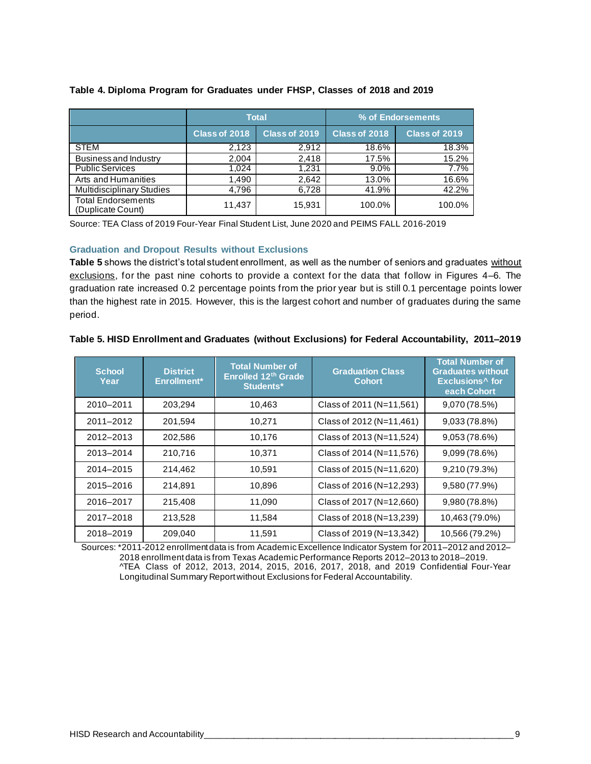|                                                |               | <b>Total</b>  | % of Endorsements |               |  |  |
|------------------------------------------------|---------------|---------------|-------------------|---------------|--|--|
|                                                | Class of 2018 | Class of 2019 | Class of 2018     | Class of 2019 |  |  |
| <b>STEM</b>                                    | 2,123         | 2.912         | 18.6%             | 18.3%         |  |  |
| Business and Industry                          | 2,004         | 2,418         | 17.5%             | 15.2%         |  |  |
| <b>Public Services</b>                         | 1.024         | 1.231         | $9.0\%$           | 7.7%          |  |  |
| Arts and Humanities                            | 1,490         | 2.642         | 13.0%             | 16.6%         |  |  |
| <b>Multidisciplinary Studies</b>               | 4,796         | 6.728         | 41.9%             | 42.2%         |  |  |
| <b>Total Endorsements</b><br>(Duplicate Count) | 11,437        | 15,931        | 100.0%            | 100.0%        |  |  |

#### **Table 4. Diploma Program for Graduates under FHSP, Classes of 2018 and 2019**

Source: TEA Class of 2019 Four-Year Final Student List, June 2020 and PEIMS FALL 2016-2019

#### **Graduation and Dropout Results without Exclusions**

**Table 5** shows the district's total student enrollment, as well as the number of seniors and graduates without exclusions, for the past nine cohorts to provide a context for the data that follow in Figures 4–6. The graduation rate increased 0.2 percentage points from the prior year but is still 0.1 percentage points lower than the highest rate in 2015. However, this is the largest cohort and number of graduates during the same period.

| Table 5. HISD Enrollment and Graduates (without Exclusions) for Federal Accountability, 2011-2019 |  |  |  |  |  |
|---------------------------------------------------------------------------------------------------|--|--|--|--|--|
|                                                                                                   |  |  |  |  |  |

| <b>School</b><br>Year | <b>District</b><br>Enrollment* | <b>Total Number of</b><br>Enrolled 12th Grade<br>Students* | <b>Graduation Class</b><br><b>Cohort</b> | <b>Total Number of</b><br><b>Graduates without</b><br><b>Exclusions</b> <sup>^</sup> for<br>each Cohort |
|-----------------------|--------------------------------|------------------------------------------------------------|------------------------------------------|---------------------------------------------------------------------------------------------------------|
| 2010-2011             | 203.294                        | 10,463                                                     | Class of 2011 (N=11,561)                 | 9,070 (78.5%)                                                                                           |
| 2011-2012             | 201,594                        | 10,271                                                     | Class of 2012 (N=11,461)                 | 9,033(78.8%)                                                                                            |
| 2012-2013             | 202,586                        | 10,176                                                     | Class of 2013 (N=11,524)                 | 9,053 (78.6%)                                                                                           |
| 2013-2014             | 210,716                        | 10,371                                                     | Class of 2014 (N=11,576)                 | 9,099(78.6%)                                                                                            |
| 2014-2015             | 214,462                        | 10,591                                                     | Class of 2015 (N=11,620)                 | 9,210 (79.3%)                                                                                           |
| 2015-2016             | 214,891                        | 10,896                                                     | Class of 2016 (N=12,293)                 | 9,580 (77.9%)                                                                                           |
| 2016-2017             | 215,408                        | 11,090                                                     | Class of 2017 (N=12,660)                 | 9,980 (78.8%)                                                                                           |
| 2017-2018             | 213,528                        | 11,584                                                     | Class of 2018 (N=13,239)                 | 10,463 (79.0%)                                                                                          |
| 2018-2019             | 209,040                        | 11,591                                                     | Class of 2019 (N=13,342)                 | 10,566 (79.2%)                                                                                          |

Sources: \*2011-2012 enrollment data is from Academic Excellence Indicator System for 2011–2012 and 2012– 2018 enrollment data is from Texas Academic Performance Reports 2012–2013 to 2018–2019. ^TEA Class of 2012, 2013, 2014, 2015, 2016, 2017, 2018, and 2019 Confidential Four-Year Longitudinal Summary Report without Exclusions for Federal Accountability.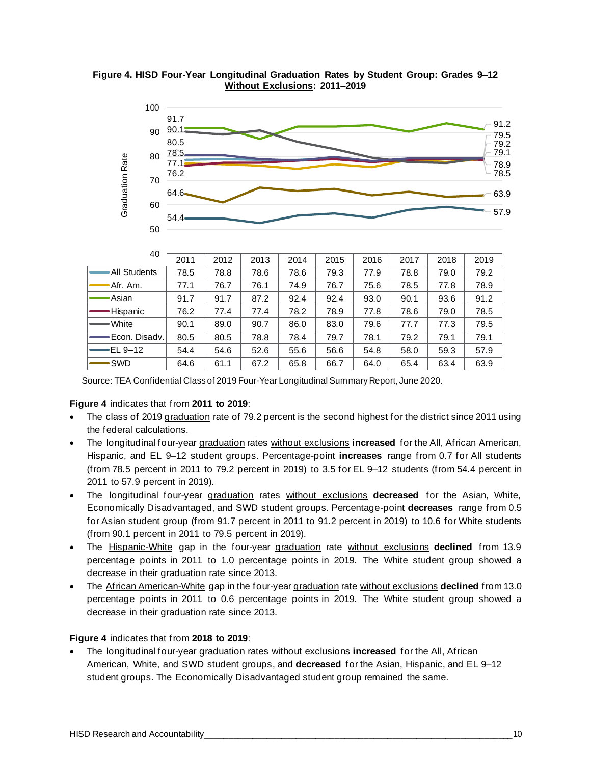

**Figure 4. HISD Four-Year Longitudinal Graduation Rates by Student Group: Grades 9–12 Without Exclusions: 2011–2019**

Source: TEA Confidential Class of 2019 Four-Year Longitudinal Summary Report, June 2020.

#### **Figure 4** indicates that from **2011 to 2019**:

- The class of 2019 graduation rate of 79.2 percent is the second highest for the district since 2011 using the federal calculations.
- The longitudinal four-year graduation rates without exclusions **increased** for the All, African American, Hispanic, and EL 9–12 student groups. Percentage-point **increases** range from 0.7 for All students (from 78.5 percent in 2011 to 79.2 percent in 2019) to 3.5 for EL 9–12 students (from 54.4 percent in 2011 to 57.9 percent in 2019).
- The longitudinal four-year graduation rates without exclusions **decreased** for the Asian, White, Economically Disadvantaged, and SWD student groups. Percentage-point **decreases** range from 0.5 for Asian student group (from 91.7 percent in 2011 to 91.2 percent in 2019) to 10.6 for White students (from 90.1 percent in 2011 to 79.5 percent in 2019).
- The Hispanic-White gap in the four-year graduation rate without exclusions **declined** from 13.9 percentage points in 2011 to 1.0 percentage points in 2019. The White student group showed a decrease in their graduation rate since 2013.
- The African American-White gap in the four-year graduation rate without exclusions **declined** from 13.0 percentage points in 2011 to 0.6 percentage points in 2019. The White student group showed a decrease in their graduation rate since 2013.

#### **Figure 4** indicates that from **2018 to 2019**:

• The longitudinal four-year graduation rates without exclusions **increased** for the All, African American, White, and SWD student groups, and **decreased** for the Asian, Hispanic, and EL 9–12 student groups. The Economically Disadvantaged student group remained the same.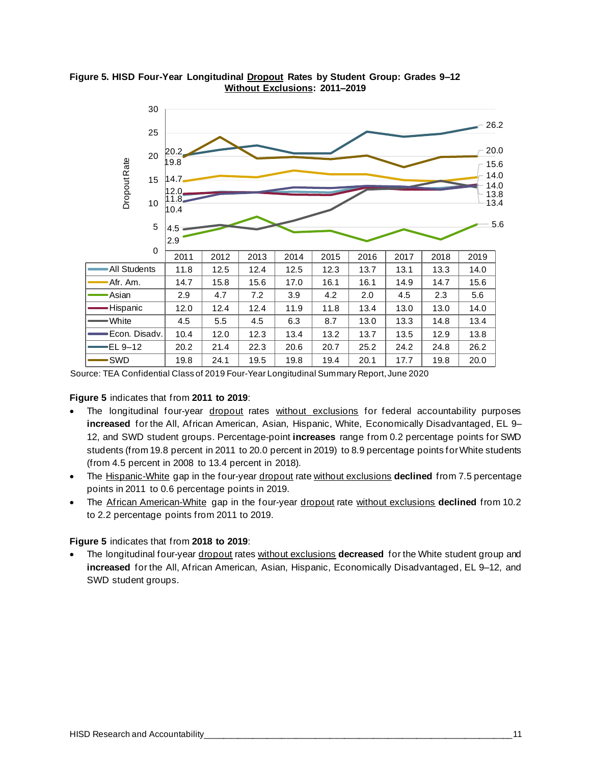

**Figure 5. HISD Four-Year Longitudinal Dropout Rates by Student Group: Grades 9–12 Without Exclusions: 2011–2019**

Source: TEA Confidential Class of 2019 Four-Year Longitudinal Summary Report, June 2020

**Figure 5** indicates that from **2011 to 2019**:

- The longitudinal four-year dropout rates without exclusions for federal accountability purposes **increased** for the All, African American, Asian, Hispanic, White, Economically Disadvantaged, EL 9– 12, and SWD student groups. Percentage-point **increases** range from 0.2 percentage points for SWD students (from 19.8 percent in 2011 to 20.0 percent in 2019) to 8.9 percentage points for White students (from 4.5 percent in 2008 to 13.4 percent in 2018).
- The Hispanic-White gap in the four-year dropout rate without exclusions declined from 7.5 percentage points in 2011 to 0.6 percentage points in 2019.
- The African American-White gap in the four-year dropout rate without exclusions **declined** from 10.2 to 2.2 percentage points from 2011 to 2019.

**Figure 5** indicates that from **2018 to 2019**:

• The longitudinal four-year dropout rates without exclusions **decreased** for the White student group and **increased** for the All, African American, Asian, Hispanic, Economically Disadvantaged, EL 9–12, and SWD student groups.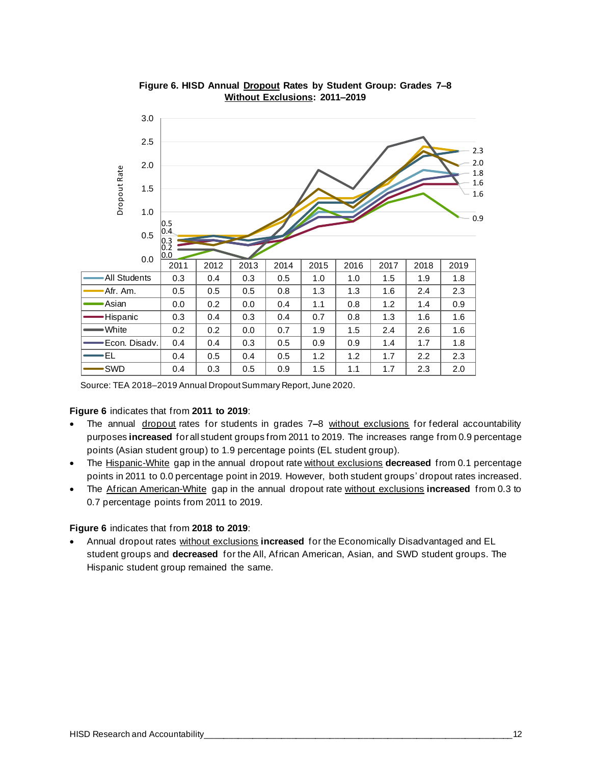

**Figure 6. HISD Annual Dropout Rates by Student Group: Grades 7–8 Without Exclusions: 2011–2019**

Source: TEA 2018–2019 Annual Dropout Summary Report, June 2020.

#### **Figure 6** indicates that from **2011 to 2019**:

- The annual dropout rates for students in grades 7**–**8 without exclusions for federal accountability purposes **increased** forall student groups from 2011 to 2019. The increases range from 0.9 percentage points (Asian student group) to 1.9 percentage points (EL student group).
- The Hispanic-White gap in the annual dropout rate without exclusions **decreased** from 0.1 percentage points in 2011 to 0.0 percentage point in 2019. However, both student groups' dropout rates increased.
- The African American-White gap in the annual dropout rate without exclusions **increased** from 0.3 to 0.7 percentage points from 2011 to 2019.

#### **Figure 6** indicates that from **2018 to 2019**:

• Annual dropout rates without exclusions **increased** for the Economically Disadvantaged and EL student groups and **decreased** for the All, African American, Asian, and SWD student groups. The Hispanic student group remained the same.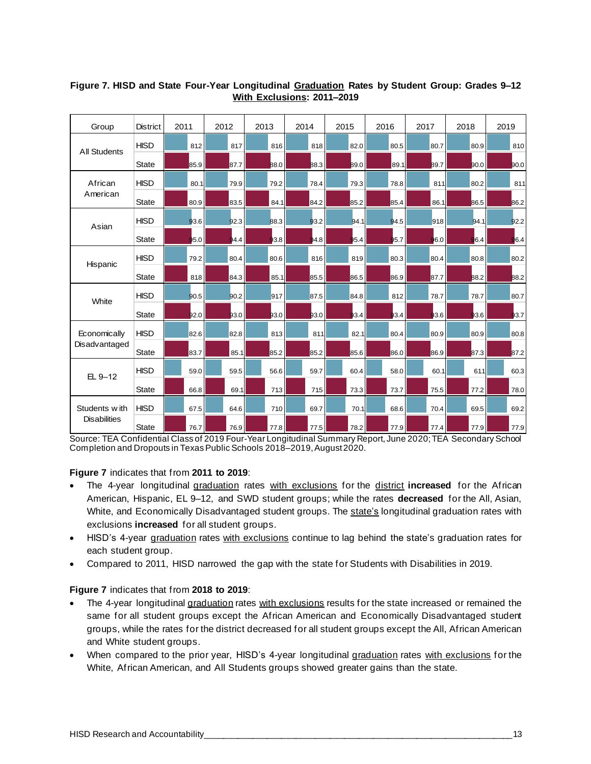| Group               | <b>District</b> | 2011 | 2012 | 2013 | 2014 | 2015 | 2016 | 2017 | 2018 | 2019 |
|---------------------|-----------------|------|------|------|------|------|------|------|------|------|
| <b>All Students</b> | <b>HISD</b>     | 812  | 81.7 | 81.6 | 81.8 | 82.0 | 80.5 | 80.7 | 80.9 | 81.0 |
|                     | <b>State</b>    | 85.9 | 87.7 | 88.0 | 88.3 | 89.0 | 89.1 | 89.7 | 90.0 | 90.0 |
| African             | <b>HISD</b>     | 80.1 | 79.9 | 79.2 | 78.4 | 79.3 | 78.8 | 811  | 80.2 | 811  |
| American            | State           | 80.9 | 83.5 | 84.1 | 84.2 | 85.2 | 85.4 | 86.1 | 86.5 | 86.2 |
| Asian               | <b>HISD</b>     | 93.6 | 92.3 | 88.3 | 93.2 | 94.1 | 94.5 | 918  | 94.1 | 92.2 |
|                     | <b>State</b>    | 95.0 | 94.4 | 93.8 | 94.8 | 95.4 | 95.7 | 96.0 | 96.4 | 96.4 |
| Hispanic            | <b>HISD</b>     | 79.2 | 80.4 | 80.6 | 816  | 81.9 | 80.3 | 80.4 | 80.8 | 80.2 |
|                     | <b>State</b>    | 818  | 84.3 | 85.1 | 85.5 | 86.5 | 86.9 | 87.7 | 88.2 | 88.2 |
| White               | <b>HISD</b>     | 90.5 | 90.2 | 91.7 | 87.5 | 84.8 | 81.2 | 78.7 | 78.7 | 80.7 |
|                     | <b>State</b>    | 92.0 | 93.0 | 93.0 | 93.0 | 93.4 | 93.4 | 93.6 | 93.6 | 93.7 |
| Economically        | <b>HISD</b>     | 82.6 | 82.8 | 81.3 | 81.1 | 82.1 | 80.4 | 80.9 | 80.9 | 80.8 |
| Disadvantaged       | <b>State</b>    | 83.7 | 85.1 | 85.2 | 85.2 | 85.6 | 86.0 | 86.9 | 87.3 | 87.2 |
| $EL 9-12$           | <b>HISD</b>     | 59.0 | 59.5 | 56.6 | 59.7 | 60.4 | 58.0 | 60.1 | 61.1 | 60.3 |
|                     | <b>State</b>    | 66.8 | 69.1 | 713  | 71.5 | 73.3 | 73.7 | 75.5 | 77.2 | 78.0 |
| Students with       | <b>HISD</b>     | 67.5 | 64.6 | 71.0 | 69.7 | 70.1 | 68.6 | 70.4 | 69.5 | 69.2 |
| <b>Disabilities</b> | <b>State</b>    | 76.7 | 76.9 | 77.8 | 77.5 | 78.2 | 77.9 | 77.4 | 77.9 | 77.9 |

#### **Figure 7. HISD and State Four-Year Longitudinal Graduation Rates by Student Group: Grades 9–12 With Exclusions: 2011–2019**

Source: TEA Confidential Class of 2019 Four-Year Longitudinal Summary Report, June 2020; TEA Secondary School Completion and Dropouts in Texas Public Schools 2018–2019, August 2020.

#### **Figure 7** indicates that from **2011 to 2019**:

- The 4-year longitudinal graduation rates with exclusions for the district **increased** for the African American, Hispanic, EL 9–12, and SWD student groups; while the rates **decreased** for the All, Asian, White, and Economically Disadvantaged student groups. The state's longitudinal graduation rates with exclusions **increased** for all student groups.
- HISD's 4-year graduation rates with exclusions continue to lag behind the state's graduation rates for each student group.
- Compared to 2011, HISD narrowed the gap with the state for Students with Disabilities in 2019.

#### **Figure 7** indicates that from **2018 to 2019**:

- The 4-year longitudinal graduation rates with exclusions results for the state increased or remained the same for all student groups except the African American and Economically Disadvantaged student groups, while the rates for the district decreased for all student groups except the All, African American and White student groups.
- When compared to the prior year, HISD's 4-year longitudinal graduation rates with exclusions for the White, African American, and All Students groups showed greater gains than the state.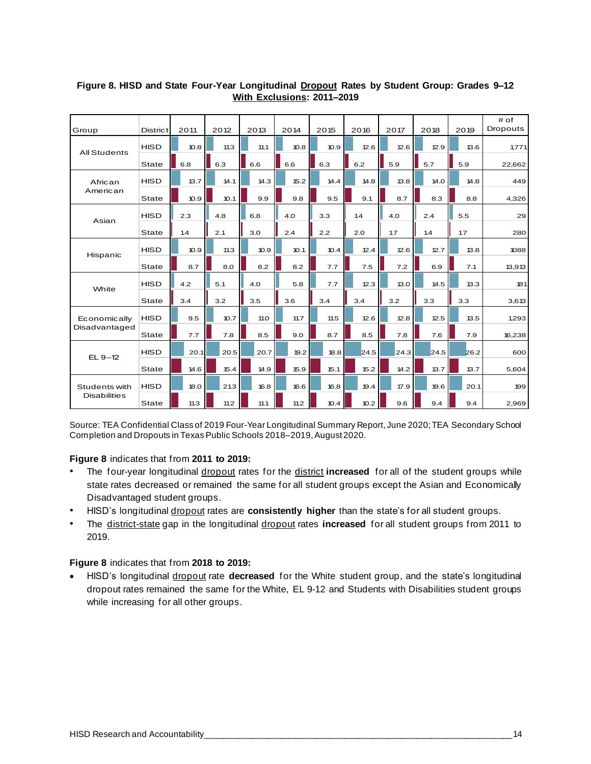|                     |                 |      |      |      |      |      |      |      |      |      | # of     |
|---------------------|-----------------|------|------|------|------|------|------|------|------|------|----------|
| Group               | <b>District</b> | 2011 | 2012 | 2013 | 2014 | 2015 | 2016 | 2017 | 2018 | 2019 | Dropouts |
| <b>All Students</b> | <b>HISD</b>     | 10.8 | 11.3 | 11.1 | 10.8 | 10.9 | 12.6 | 12.6 | 12.9 | 13.6 | 1,771    |
|                     | <b>State</b>    | 6.8  | 6.3  | 6.6  | 6.6  | 6.3  | 6.2  | 5.9  | 5.7  | 5.9  | 22,662   |
| African             | <b>HISD</b>     | 13.7 | 14.1 | 14.3 | 15.2 | 14.4 | 14.8 | 13.8 | 14.0 | 14.8 | 449      |
| American            | <b>State</b>    | 10.9 | 10.1 | 9.9  | 9.8  | 9.5  | 9.1  | 8.7  | 8.3  | 8.8  | 4,326    |
| Asian               | <b>HISD</b>     | 2.3  | 4.8  | 6.8  | 4.0  | 3.3  | 1.4  | 4.0  | 2.4  | 5.5  | 29       |
|                     | State           | 1.4  | 2.1  | 3.0  | 2.4  | 2.2  | 2.0  | 1.7  | 1.4  | 1.7  | 280      |
|                     | <b>HISD</b>     | 10.9 | 11.3 | 10.9 | 10.1 | 10.4 | 12.4 | 12.6 | 12.7 | 13.8 | 1088     |
| Hispanic            | <b>State</b>    | 8.7  | 8.0  | 8.2  | 8.2  | 7.7  | 7.5  | 7.2  | 6.9  | 7.1  | 13,913   |
| White               | <b>HISD</b>     | 4.2  | 5.1  | 4.0  | 5.8  | 7.7  | 12.3 | 13.0 | 14.5 | 13.3 | 181      |
|                     | <b>State</b>    | 3.4  | 3.2  | 3.5  | 3.6  | 3.4  | 3.4  | 3.2  | 3.3  | 3.3  | 3,613    |
| Economically        | <b>HISD</b>     | 9.5  | 10.7 | 11.0 | 11.7 | 11.5 | 12.6 | 12.8 | 12.5 | 13.5 | 1,293    |
| Disadvantaged       | State           | 7.7  | 7.8  | 8.5  | 9.0  | 8.7  | 8.5  | 7.8  | 7.6  | 7.9  | 16,238   |
| $EL 9-12$           | <b>HISD</b>     | 20.1 | 20.5 | 20.7 | 19.2 | 18.8 | 24.5 | 24.3 | 24.5 | 26.2 | 600      |
|                     | State           | 14.6 | 15.4 | 14.9 | 15.9 | 15.1 | 15.2 | 14.2 | 13.7 | 13.7 | 5,604    |
| Students with       | <b>HISD</b>     | 18.0 | 21.3 | 16.8 | 16.6 | 16.8 | 19.4 | 17.9 | 19.6 | 20.1 | 199      |
| <b>Disabilities</b> | State           | 11.3 | 11.2 | 11.1 | 11.2 | 10.4 | 10.2 | 9.6  | 9.4  | 9.4  | 2,969    |

#### **Figure 8. HISD and State Four-Year Longitudinal Dropout Rates by Student Group: Grades 9–12 With Exclusions: 2011–2019**

Source: TEA Confidential Class of 2019 Four-Year Longitudinal Summary Report, June 2020; TEA Secondary School Completion and Dropouts in Texas Public Schools 2018–2019, August 2020.

**Figure 8** indicates that from **2011 to 2019:**

- The four-year longitudinal dropout rates for the district increased for all of the student groups while state rates decreased or remained the same for all student groups except the Asian and Economically Disadvantaged student groups.
- HISD's longitudinal dropout rates are **consistently higher** than the state's for all student groups.
- The district-state gap in the longitudinal dropout rates **increased** for all student groups from 2011 to 2019.

#### **Figure 8** indicates that from **2018 to 2019:**

• HISD's longitudinal dropout rate **decreased** for the White student group, and the state's longitudinal dropout rates remained the same for the White, EL 9-12 and Students with Disabilities student groups while increasing for all other groups.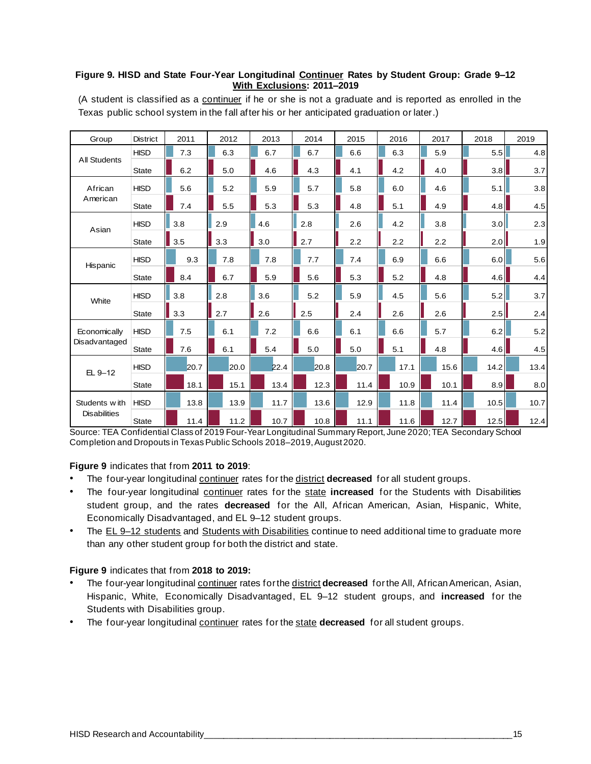#### **Figure 9. HISD and State Four-Year Longitudinal Continuer Rates by Student Group: Grade 9–12 With Exclusions: 2011–2019**

| Group               | <b>District</b> | 2011 | 2012 | 2013 | 2014 | 2015 | 2016 | 2017 | 2018 | 2019 |
|---------------------|-----------------|------|------|------|------|------|------|------|------|------|
|                     | <b>HISD</b>     | 7.3  | 6.3  | 6.7  | 6.7  | 6.6  | 6.3  | 5.9  | 5.5  | 4.8  |
| <b>All Students</b> | <b>State</b>    | 6.2  | 5.0  | 4.6  | 4.3  | 4.1  | 4.2  | 4.0  | 3.8  | 3.7  |
| African             | <b>HISD</b>     | 5.6  | 5.2  | 5.9  | 5.7  | 5.8  | 6.0  | 4.6  | 5.1  | 3.8  |
| American            | <b>State</b>    | 7.4  | 5.5  | 5.3  | 5.3  | 4.8  | 5.1  | 4.9  | 4.8  | 4.5  |
| Asian               | <b>HISD</b>     | 3.8  | 2.9  | 4.6  | 2.8  | 2.6  | 4.2  | 3.8  | 3.0  | 2.3  |
|                     | <b>State</b>    | 3.5  | 3.3  | 3.0  | 2.7  | 2.2  | 2.2  | 2.2  | 2.0  | 1.9  |
| Hispanic            | <b>HISD</b>     | 9.3  | 7.8  | 7.8  | 7.7  | 7.4  | 6.9  | 6.6  | 6.0  | 5.6  |
|                     | <b>State</b>    | 8.4  | 6.7  | 5.9  | 5.6  | 5.3  | 5.2  | 4.8  | 4.6  | 4.4  |
| White               | <b>HISD</b>     | 3.8  | 2.8  | 3.6  | 5.2  | 5.9  | 4.5  | 5.6  | 5.2  | 3.7  |
|                     | <b>State</b>    | 3.3  | 2.7  | 2.6  | 2.5  | 2.4  | 2.6  | 2.6  | 2.5  | 2.4  |
| Economically        | <b>HISD</b>     | 7.5  | 6.1  | 7.2  | 6.6  | 6.1  | 6.6  | 5.7  | 6.2  | 5.2  |
| Disadvantaged       | State           | 7.6  | 6.1  | 5.4  | 5.0  | 5.0  | 5.1  | 4.8  | 4.6  | 4.5  |
| 日9-12               | <b>HISD</b>     | 20.7 | 20.0 | 22.4 | 20.8 | 20.7 | 17.1 | 15.6 | 14.2 | 13.4 |
|                     | <b>State</b>    | 18.1 | 15.1 | 13.4 | 12.3 | 11.4 | 10.9 | 10.1 | 8.9  | 8.0  |
| Students with       | <b>HISD</b>     | 13.8 | 13.9 | 11.7 | 13.6 | 12.9 | 11.8 | 11.4 | 10.5 | 10.7 |
| <b>Disabilities</b> | <b>State</b>    | 11.4 | 11.2 | 10.7 | 10.8 | 11.1 | 11.6 | 12.7 | 12.5 | 12.4 |

(A student is classified as a continuer if he or she is not a graduate and is reported as enrolled in the Texas public school system in the fall after his or her anticipated graduation or later.)

Source: TEA Confidential Class of 2019 Four-Year Longitudinal Summary Report, June 2020; TEA Secondary School Completion and Dropouts in Texas Public Schools 2018–2019, August 2020.

#### **Figure 9** indicates that from **2011 to 2019**:

- The four-year longitudinal continuer rates for the district **decreased** for all student groups.
- The four-year longitudinal continuer rates for the state increased for the Students with Disabilities student group, and the rates **decreased** for the All, African American, Asian, Hispanic, White, Economically Disadvantaged, and EL 9–12 student groups.
- The EL 9-12 students and Students with Disabilities continue to need additional time to graduate more than any other student group for both the district and state.

#### **Figure 9** indicates that from **2018 to 2019:**

- The four-year longitudinal continuer rates for the district **decreased** for the All, African American, Asian, Hispanic, White, Economically Disadvantaged, EL 9–12 student groups, and **increased** for the Students with Disabilities group.
- The four-year longitudinal continuer rates for the state **decreased** for all student groups.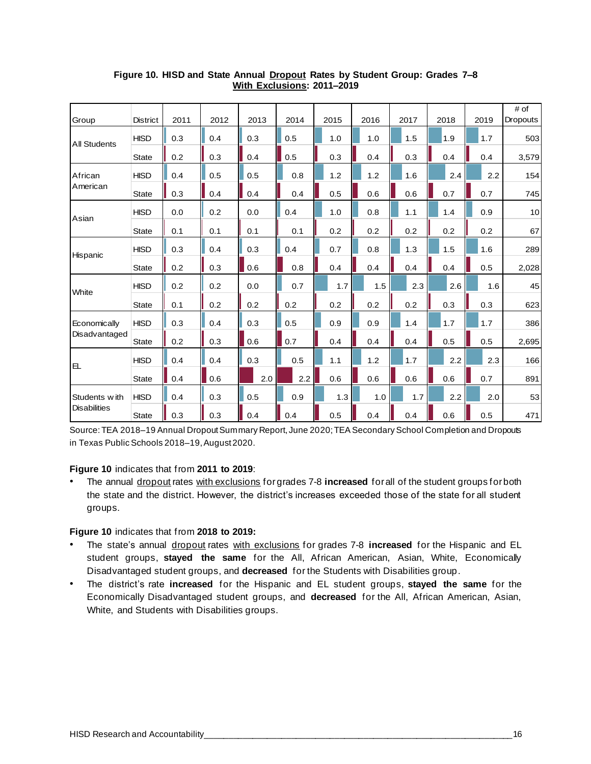| Group               | <b>District</b> | 2011 | 2012 | 2013 | 2014 | 2015 | 2016 | 2017 | 2018 | 2019 | # of<br><b>Dropouts</b> |
|---------------------|-----------------|------|------|------|------|------|------|------|------|------|-------------------------|
|                     | <b>HISD</b>     | 0.3  | 0.4  | 0.3  | 0.5  | 1.0  | 1.0  | 1.5  | 1.9  | 1.7  | 503                     |
| <b>All Students</b> | <b>State</b>    | 0.2  | 0.3  | 0.4  | 0.5  | 0.3  | 0.4  | 0.3  | 0.4  | 0.4  | 3,579                   |
| African             | <b>HISD</b>     | 0.4  | 0.5  | 0.5  | 0.8  | 1.2  | 1.2  | 1.6  | 2.4  | 2.2  | 154                     |
| American            | <b>State</b>    | 0.3  | 0.4  | 0.4  | 0.4  | 0.5  | 0.6  | 0.6  | 0.7  | 0.7  | 745                     |
|                     | <b>HISD</b>     | 0.0  | 0.2  | 0.0  | 0.4  | 1.0  | 0.8  | 1.1  | 1.4  | 0.9  | 10                      |
| Asian               | <b>State</b>    | 0.1  | 0.1  | 0.1  | 0.1  | 0.2  | 0.2  | 0.2  | 0.2  | 0.2  | 67                      |
|                     | <b>HISD</b>     | 0.3  | 0.4  | 0.3  | 0.4  | 0.7  | 0.8  | 1.3  | 1.5  | 1.6  | 289                     |
| Hispanic            | <b>State</b>    | 0.2  | 0.3  | 0.6  | 0.8  | 0.4  | 0.4  | 0.4  | 0.4  | 0.5  | 2,028                   |
|                     | <b>HISD</b>     | 0.2  | 0.2  | 0.0  | 0.7  | 1.7  | 1.5  | 2.3  | 2.6  | 1.6  | 45                      |
| White               | <b>State</b>    | 0.1  | 0.2  | 0.2  | 0.2  | 0.2  | 0.2  | 0.2  | 0.3  | 0.3  | 623                     |
| Economically        | <b>HISD</b>     | 0.3  | 0.4  | 0.3  | 0.5  | 0.9  | 0.9  | 1.4  | 1.7  | 1.7  | 386                     |
| Disadvantaged       | <b>State</b>    | 0.2  | 0.3  | 0.6  | 0.7  | 0.4  | 0.4  | 0.4  | 0.5  | 0.5  | 2,695                   |
|                     | <b>HISD</b>     | 0.4  | 0.4  | 0.3  | 0.5  | 1.1  | 1.2  | 1.7  | 2.2  | 2.3  | 166                     |
| EL                  | <b>State</b>    | 0.4  | 0.6  | 2.0  | 2.2  | 0.6  | 0.6  | 0.6  | 0.6  | 0.7  | 891                     |
| Students with       | <b>HISD</b>     | 0.4  | 0.3  | 0.5  | 0.9  | 1.3  | 1.0  | 1.7  | 2.2  | 2.0  | 53                      |
| <b>Disabilities</b> | State           | 0.3  | 0.3  | 0.4  | 0.4  | 0.5  | 0.4  | 0.4  | 0.6  | 0.5  | 471                     |

#### **Figure 10. HISD and State Annual Dropout Rates by Student Group: Grades 7–8 With Exclusions: 2011–2019**

Source: TEA 2018–19 Annual Dropout Summary Report, June 2020; TEA Secondary School Completion and Dropouts in Texas Public Schools 2018–19, August 2020.

#### **Figure 10** indicates that from **2011 to 2019**:

• The annual dropout rates with exclusions for grades 7-8 **increased** for all of the student groups for both the state and the district. However, the district's increases exceeded those of the state for all student groups.

**Figure 10** indicates that from **2018 to 2019:**

- The state's annual dropout rates with exclusions for grades 7-8 **increased** for the Hispanic and EL student groups, **stayed the same** for the All, African American, Asian, White, Economically Disadvantaged student groups, and **decreased** for the Students with Disabilities group.
- The district's rate **increased** for the Hispanic and EL student groups, **stayed the same** for the Economically Disadvantaged student groups, and **decreased** for the All, African American, Asian, White, and Students with Disabilities groups.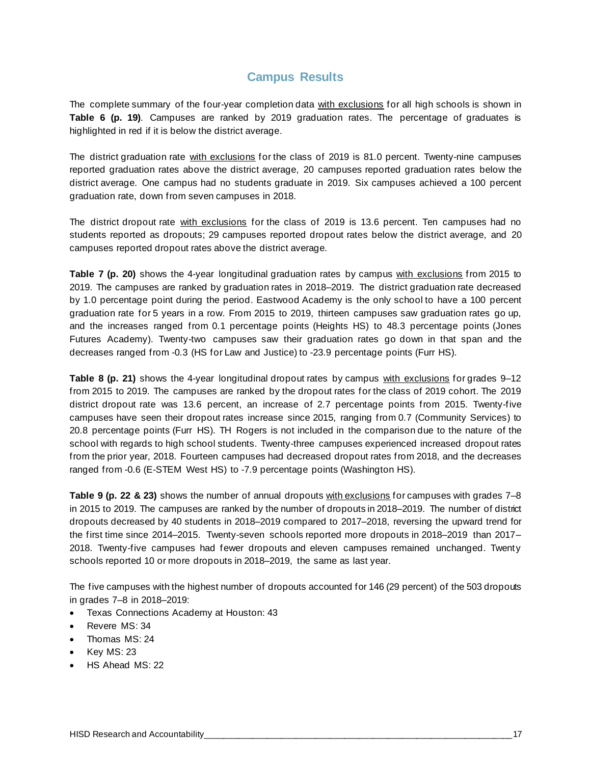### **Campus Results**

The complete summary of the four-year completion data with exclusions for all high schools is shown in **Table 6 (p. 19)**. Campuses are ranked by 2019 graduation rates. The percentage of graduates is highlighted in red if it is below the district average.

The district graduation rate with exclusions for the class of 2019 is 81.0 percent. Twenty-nine campuses reported graduation rates above the district average, 20 campuses reported graduation rates below the district average. One campus had no students graduate in 2019. Six campuses achieved a 100 percent graduation rate, down from seven campuses in 2018.

The district dropout rate with exclusions for the class of 2019 is 13.6 percent. Ten campuses had no students reported as dropouts; 29 campuses reported dropout rates below the district average, and 20 campuses reported dropout rates above the district average.

**Table 7 (p. 20)** shows the 4-year longitudinal graduation rates by campus with exclusions from 2015 to 2019. The campuses are ranked by graduation rates in 2018–2019. The district graduation rate decreased by 1.0 percentage point during the period. Eastwood Academy is the only school to have a 100 percent graduation rate for 5 years in a row. From 2015 to 2019, thirteen campuses saw graduation rates go up, and the increases ranged from 0.1 percentage points (Heights HS) to 48.3 percentage points (Jones Futures Academy). Twenty-two campuses saw their graduation rates go down in that span and the decreases ranged from -0.3 (HS for Law and Justice) to -23.9 percentage points (Furr HS).

**Table 8 (p. 21)** shows the 4-year longitudinal dropout rates by campus with exclusions for grades 9–12 from 2015 to 2019. The campuses are ranked by the dropout rates for the class of 2019 cohort. The 2019 district dropout rate was 13.6 percent, an increase of 2.7 percentage points from 2015. Twenty-five campuses have seen their dropout rates increase since 2015, ranging from 0.7 (Community Services) to 20.8 percentage points (Furr HS). TH Rogers is not included in the comparison due to the nature of the school with regards to high school students. Twenty-three campuses experienced increased dropout rates from the prior year, 2018. Fourteen campuses had decreased dropout rates from 2018, and the decreases ranged from -0.6 (E-STEM West HS) to -7.9 percentage points (Washington HS).

**Table 9 (p. 22 & 23)** shows the number of annual dropouts with exclusions for campuses with grades 7–8 in 2015 to 2019. The campuses are ranked by the number of dropouts in 2018–2019. The number of district dropouts decreased by 40 students in 2018–2019 compared to 2017–2018, reversing the upward trend for the first time since 2014–2015. Twenty-seven schools reported more dropouts in 2018–2019 than 2017– 2018. Twenty-five campuses had fewer dropouts and eleven campuses remained unchanged. Twenty schools reported 10 or more dropouts in 2018–2019, the same as last year.

The five campuses with the highest number of dropouts accounted for 146 (29 percent) of the 503 dropouts in grades 7–8 in 2018–2019:

- Texas Connections Academy at Houston: 43
- Revere MS: 34
- Thomas MS: 24
- Key MS: 23
- HS Ahead MS: 22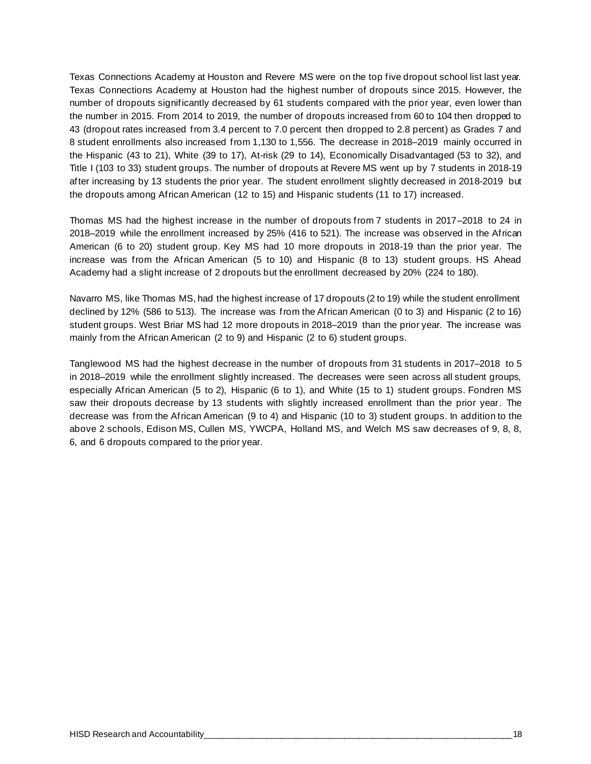Texas Connections Academy at Houston and Revere MS were on the top five dropout school list last year. Texas Connections Academy at Houston had the highest number of dropouts since 2015. However, the number of dropouts significantly decreased by 61 students compared with the prior year, even lower than the number in 2015. From 2014 to 2019, the number of dropouts increased from 60 to 104 then dropped to 43 (dropout rates increased from 3.4 percent to 7.0 percent then dropped to 2.8 percent) as Grades 7 and 8 student enrollments also increased from 1,130 to 1,556. The decrease in 2018–2019 mainly occurred in the Hispanic (43 to 21), White (39 to 17), At-risk (29 to 14), Economically Disadvantaged (53 to 32), and Title I (103 to 33) student groups. The number of dropouts at Revere MS went up by 7 students in 2018-19 after increasing by 13 students the prior year. The student enrollment slightly decreased in 2018-2019 but the dropouts among African American (12 to 15) and Hispanic students (11 to 17) increased.

Thomas MS had the highest increase in the number of dropouts from 7 students in 2017–2018 to 24 in 2018–2019 while the enrollment increased by 25% (416 to 521). The increase was observed in the African American (6 to 20) student group. Key MS had 10 more dropouts in 2018-19 than the prior year. The increase was from the African American (5 to 10) and Hispanic (8 to 13) student groups. HS Ahead Academy had a slight increase of 2 dropouts but the enrollment decreased by 20% (224 to 180).

Navarro MS, like Thomas MS, had the highest increase of 17 dropouts (2 to 19) while the student enrollment declined by 12% (586 to 513). The increase was from the African American (0 to 3) and Hispanic (2 to 16) student groups. West Briar MS had 12 more dropouts in 2018–2019 than the prior year. The increase was mainly from the African American (2 to 9) and Hispanic (2 to 6) student groups.

Tanglewood MS had the highest decrease in the number of dropouts from 31 students in 2017–2018 to 5 in 2018–2019 while the enrollment slightly increased. The decreases were seen across all student groups, especially African American (5 to 2), Hispanic (6 to 1), and White (15 to 1) student groups. Fondren MS saw their dropouts decrease by 13 students with slightly increased enrollment than the prior year. The decrease was from the African American (9 to 4) and Hispanic (10 to 3) student groups. In addition to the above 2 schools, Edison MS, Cullen MS, YWCPA, Holland MS, and Welch MS saw decreases of 9, 8, 8, 6, and 6 dropouts compared to the prior year.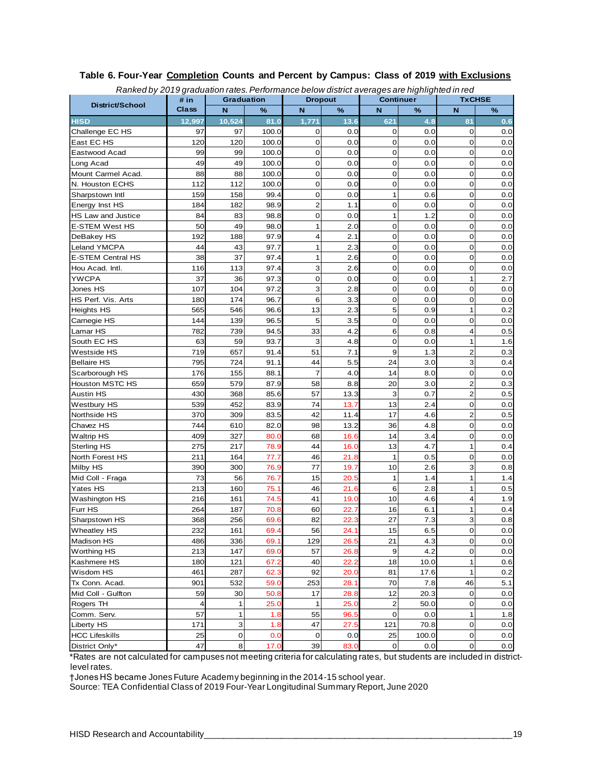|                       |                      |                   |       | Ranked by 2019 graduation rates. Periormance below district averages are nighlighted in red<br><b>Dropout</b> |                  |                         |       | <b>TxCHSE</b>    |      |  |  |
|-----------------------|----------------------|-------------------|-------|---------------------------------------------------------------------------------------------------------------|------------------|-------------------------|-------|------------------|------|--|--|
| District/School       | # in<br><b>Class</b> | <b>Graduation</b> |       |                                                                                                               |                  | <b>Continuer</b>        |       | N                |      |  |  |
|                       |                      | N                 | %     | N                                                                                                             | %                | N                       | $\%$  |                  | $\%$ |  |  |
| <b>HISD</b>           | 12,997               | 10,524            | 81.0  | 1,771                                                                                                         | 13.6             | 621                     | 4.8   | 81               | 0.6  |  |  |
| Challenge EC HS       | 97                   | 97                | 100.0 | 0                                                                                                             | 0.0              | 0                       | 0.0   | 0                | 0.0  |  |  |
| East EC HS            | 120                  | 120               | 100.0 | $\mathbf 0$                                                                                                   | 0.0              | $\mathbf 0$             | 0.0   | $\mathbf 0$      | 0.0  |  |  |
| Eastwood Acad         | 99                   | 99                | 100.0 | 0                                                                                                             | 0.0              | $\mathbf 0$             | 0.0   | $\mathbf 0$      | 0.0  |  |  |
| Long Acad             | 49                   | 49                | 100.0 | $\overline{0}$                                                                                                | 0.0              | $\mathbf 0$             | 0.0   | $\mathbf 0$      | 0.0  |  |  |
| Mount Carmel Acad.    | 88                   | 88                | 100.0 | 0                                                                                                             | 0.0              | $\mathbf 0$             | 0.0   | $\mathbf 0$      | 0.0  |  |  |
| N. Houston ECHS       | 112                  | 112               | 100.0 | 0                                                                                                             | 0.0              | 0                       | 0.0   | $\mathbf 0$      | 0.0  |  |  |
| Sharpstown Intl       | 159                  | 158               | 99.4  | $\mathbf 0$                                                                                                   | 0.0              | 1                       | 0.6   | $\mathbf 0$      | 0.0  |  |  |
| Energy Inst HS        | 184                  | 182               | 98.9  | $\overline{2}$                                                                                                | 1.1              | $\mathbf 0$             | 0.0   | $\mathbf 0$      | 0.0  |  |  |
| HS Law and Justice    | 84                   | 83                | 98.8  | 0                                                                                                             | 0.0              | 1                       | 1.2   | $\mathbf 0$      | 0.0  |  |  |
| <b>E-STEM West HS</b> | 50                   | 49                | 98.0  | 1                                                                                                             | 2.0              | $\mathbf 0$             | 0.0   | $\mathbf 0$      | 0.0  |  |  |
| DeBakey HS            | 192                  | 188               | 97.9  | 4                                                                                                             | 2.1              | $\mathbf 0$             | 0.0   | $\mathbf 0$      | 0.0  |  |  |
| Leland YMCPA          | 44                   | 43                | 97.7  | 1                                                                                                             | 2.3              | $\mathbf 0$             | 0.0   | $\mathbf 0$      | 0.0  |  |  |
| E-STEM Central HS     | 38                   | 37                | 97.4  | 1                                                                                                             | 2.6              | $\mathbf 0$             | 0.0   | $\mathbf 0$      | 0.0  |  |  |
| Hou Acad. Intl.       | 116                  | 113               | 97.4  | 3                                                                                                             | 2.6              | $\mathbf 0$             | 0.0   | $\mathbf 0$      | 0.0  |  |  |
| <b>YWCPA</b>          | 37                   | 36                | 97.3  | $\mathbf 0$                                                                                                   | 0.0              | $\mathbf 0$             | 0.0   | $\mathbf{1}$     | 2.7  |  |  |
| Jones HS              | 107                  | 104               | 97.2  | 3                                                                                                             | 2.8              | $\mathbf 0$             | 0.0   | $\mathbf 0$      | 0.0  |  |  |
| HS Perf. Vis. Arts    | 180                  | 174               | 96.7  | 6                                                                                                             | 3.3              | $\mathbf 0$             | 0.0   | $\mathbf 0$      | 0.0  |  |  |
| <b>Heights HS</b>     | 565                  | 546               | 96.6  | 13                                                                                                            | 2.3              | 5                       | 0.9   | $\mathbf{1}$     | 0.2  |  |  |
| Carnegie HS           | 144                  | 139               | 96.5  | 5                                                                                                             | 3.5              | $\mathbf 0$             | 0.0   | $\mathbf 0$      | 0.0  |  |  |
| Lamar HS              | 782                  | 739               | 94.5  | 33                                                                                                            | 4.2              | 6                       | 0.8   | $\overline{4}$   | 0.5  |  |  |
| South EC HS           | 63                   | 59                | 93.7  | 3                                                                                                             | 4.8              | $\mathbf 0$             | 0.0   | $\mathbf{1}$     | 1.6  |  |  |
| <b>Westside HS</b>    | 719                  | 657               | 91.4  | 51                                                                                                            | 7.1              | 9                       | 1.3   | $\overline{2}$   | 0.3  |  |  |
| <b>Bellaire HS</b>    | 795                  | 724               | 91.1  | 44                                                                                                            | 5.5              | 24                      | 3.0   | 3                | 0.4  |  |  |
| Scarborough HS        | 176                  | 155               | 88.1  | $\overline{7}$                                                                                                | 4.0              | 14                      | 8.0   | $\mathbf 0$      | 0.0  |  |  |
| Houston MSTC HS       | 659                  | 579               | 87.9  | 58                                                                                                            | 8.8              | 20                      | 3.0   | $\boldsymbol{2}$ | 0.3  |  |  |
| <b>Austin HS</b>      | 430                  | 368               | 85.6  | 57                                                                                                            | 13.3             | 3                       | 0.7   | $\overline{2}$   | 0.5  |  |  |
| <b>Westbury HS</b>    | 539                  | 452               | 83.9  | 74                                                                                                            | 13.7             | 13                      | 2.4   | 0                | 0.0  |  |  |
| Northside HS          | 370                  | 309               | 83.5  | 42                                                                                                            | 11.4             | 17                      | 4.6   | $\overline{2}$   | 0.5  |  |  |
| Chavez HS             | 744                  | 610               | 82.0  | 98                                                                                                            | 13.2             | 36                      | 4.8   | $\mathbf 0$      | 0.0  |  |  |
| <b>Waltrip HS</b>     | 409                  | 327               | 80.0  | 68                                                                                                            | 16.6             | 14                      | 3.4   | $\mathbf 0$      | 0.0  |  |  |
| <b>Sterling HS</b>    | 275                  | 217               | 78.9  | 44                                                                                                            | 16. <sub>C</sub> | 13                      | 4.7   | $\mathbf{1}$     | 0.4  |  |  |
| North Forest HS       | 211                  | 164               | 77.7  | 46                                                                                                            | 21.8             | $\mathbf{1}$            | 0.5   | $\mathbf 0$      | 0.0  |  |  |
| Milby HS              | 390                  | 300               | 76.9  | 77                                                                                                            | 19.7             | 10                      | 2.6   | 3                | 0.8  |  |  |
| Mid Coll - Fraga      | 73                   | 56                | 76.7  | 15                                                                                                            | 20.5             | $\mathbf 1$             | 1.4   | $\mathbf{1}$     | 1.4  |  |  |
| Yates HS              | 213                  | 160               | 75.1  | 46                                                                                                            | 21.6             | 6                       | 2.8   | $\mathbf{1}$     | 0.5  |  |  |
| Washington HS         | 216                  | 161               | 74.5  | 41                                                                                                            | 19.0             | 10                      | 4.6   | 4                | 1.9  |  |  |
| Furr HS               | 264                  | 187               | 70.8  | 60                                                                                                            | 22.7             | 16                      | 6.1   | 1                | 0.4  |  |  |
| Sharpstown HS         | 368                  | 256               | 69.6  | 82                                                                                                            | 22.3             | 27                      | 7.3   | $\mathbf{3}$     | 0.8  |  |  |
| <b>Wheatley HS</b>    | 232                  | 161               | 69.4  | 56                                                                                                            | 24.1             | 15                      | 6.5   | $\mathbf 0$      | 0.0  |  |  |
| Madison HS            | 486                  | 336               | 69.1  | 129                                                                                                           | 26.5             | 21                      | 4.3   | $\overline{0}$   | 0.0  |  |  |
| <b>Worthing HS</b>    | 213                  | 147               | 69.0  | 57                                                                                                            | 26.8             | $\boldsymbol{9}$        | 4.2   | 0                | 0.0  |  |  |
| Kashmere HS           | 180                  | 121               | 67.2  | 40                                                                                                            | 22.2             | 18                      | 10.0  | $\mathbf{1}$     | 0.6  |  |  |
| Wisdom HS             | 461                  | 287               | 62.3  | 92                                                                                                            | 20.0             | 81                      | 17.6  | $\mathbf{1}$     | 0.2  |  |  |
| Tx Conn. Acad.        | 901                  | 532               | 59.0  | 253                                                                                                           | 28.1             | 70                      | 7.8   | 46               | 5.1  |  |  |
| Mid Coll - Gulfton    | 59                   | 30                | 50.8  | 17                                                                                                            | 28.8             | 12                      | 20.3  | $\overline{0}$   | 0.0  |  |  |
| Rogers TH             | 4                    | 1                 | 25.0  | 1                                                                                                             | 25.0             | $\overline{\mathbf{c}}$ | 50.0  | $\mathbf 0$      | 0.0  |  |  |
| Comm. Serv.           | 57                   | $\mathbf{1}$      | 1.8   | 55                                                                                                            | 96.5             | $\mathbf 0$             | 0.0   | $\mathbf{1}$     | 1.8  |  |  |
| Liberty HS            | 171                  | 3                 | 1.8   | 47                                                                                                            | 27.5             | 121                     | 70.8  | $\mathbf{O}$     | 0.0  |  |  |
| <b>HCC Lifeskills</b> | 25                   | 0                 | 0.0   | 0                                                                                                             | 0.0              | 25                      | 100.0 | $\Omega$         | 0.0  |  |  |
| District Only*        | 47                   | 8                 | 17.0  | 39                                                                                                            | 83.0             | $\mathbf 0$             | 0.0   | $\boldsymbol{0}$ | 0.0  |  |  |
|                       |                      |                   |       |                                                                                                               |                  |                         |       |                  |      |  |  |

#### **Table 6. Four-Year Completion Counts and Percent by Campus: Class of 2019 with Exclusions** *Ranked by 2019 graduation rates.Performance below district averages are highlighted in red*

\*Rates are not calculated for campuses not meeting criteria for calculating rates, but students are included in districtlevel rates.

†Jones HS became Jones Future Academy beginning in the 2014-15 school year.

Source: TEA Confidential Class of 2019 Four-Year Longitudinal Summary Report, June 2020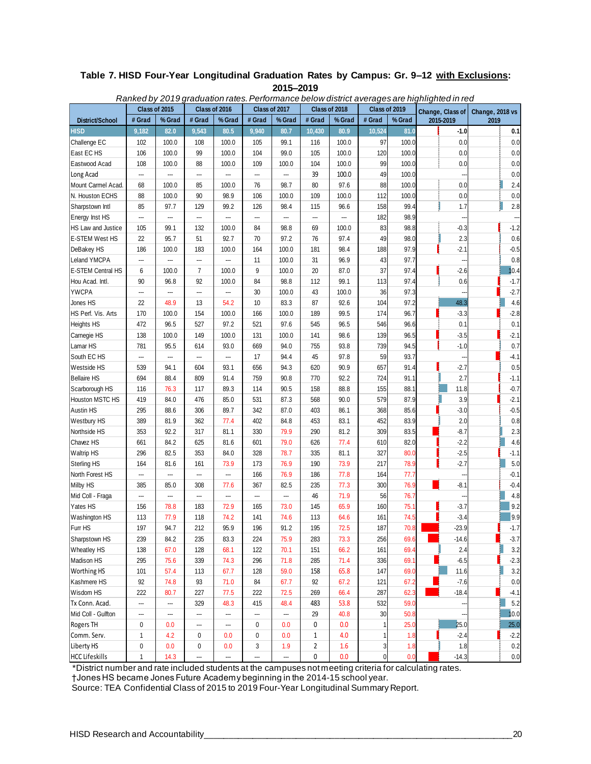#### **Table 7. HISD Four-Year Longitudinal Graduation Rates by Campus: Gr. 9–12 with Exclusions: 2015–2019**

|                       | 1.91110977   | ---<br>Class of 2015 | .              | Class of 2016 |        | Class of 2017 |                | Class of 2018 | Class of 2019 |        | Change, Class of |                          | Change, 2018 vs |         |
|-----------------------|--------------|----------------------|----------------|---------------|--------|---------------|----------------|---------------|---------------|--------|------------------|--------------------------|-----------------|---------|
| District/School       | # Grad       | % Grad               | # Grad         | % Grad        | # Grad | % Grad        | # Grad         | % Grad        | # Grad        | % Grad |                  | 2015-2019                | 2019            |         |
| HISD                  | 9,182        | 82.0                 | 9,543          | 80.5          | 9,940  | 80.7          | 10,430         | 80.9          | 10,524        | 81.0   |                  | $-1.0$                   |                 | 0.1     |
| Challenge EC          | 102          | 100.0                | 108            | 100.0         | 105    | 99.1          | 116            | 100.0         | 97            | 100.0  |                  | 0.0                      |                 | 0.0     |
| East EC HS            | 106          | 100.0                | 99             | 100.0         | 104    | 99.0          | 105            | 100.0         | 120           | 100.0  |                  | 0.0                      |                 | 0.0     |
| Eastwood Acad         | 108          | 100.0                | 88             | 100.0         | 109    | 100.0         | 104            | 100.0         | 99            | 100.0  |                  | 0.0                      |                 | 0.0     |
| Long Acad             |              |                      | ---            | ---           |        | ---           | 39             | 100.0         | 49            | 100.0  |                  |                          |                 | 0.0     |
| Mount Carmel Acad.    | 68           | 100.0                | 85             | 100.0         | 76     | 98.7          | 80             | 97.6          | 88            | 100.0  |                  | 0.0                      |                 | 2.4     |
| N. Houston ECHS       | 88           | 100.0                | 90             | 98.9          | 106    | 100.0         | 109            | 100.0         | 112           | 100.0  |                  | 0.0                      |                 | 0.0     |
| Sharpstown Intl       | 85           | 97.7                 | 129            | 99.2          | 126    | 98.4          | 115            | 96.6          | 158           | 99.4   |                  | 1.7                      |                 | 2.8     |
| Energy Inst HS        |              | ---                  | ---            | −−            | ---    | ---           | ---            | ---           | 182           | 98.9   |                  |                          |                 |         |
| HS Law and Justice    | 105          | 99.1                 | 132            | 100.0         | 84     | 98.8          | 69             | 100.0         | 83            | 98.8   |                  | $-0.3$                   |                 | $-1.2$  |
| <b>E-STEM West HS</b> | 22           | 95.7                 | 51             | 92.7          | 70     | 97.2          | 76             | 97.4          | 49            | 98.0   |                  | 2.3                      |                 | 0.6     |
| DeBakey HS            | 186          | 100.0                | 183            | 100.0         | 164    | 100.0         | 181            | 98.4          | 188           | 97.9   |                  | $-2.1$                   |                 | $-0.5$  |
| Leland YMCPA          |              | ---                  | ---            | ---           | 11     | 100.0         | 31             | 96.9          | 43            | 97.7   |                  |                          |                 | 0.8     |
| E-STEM Central HS     | 6            | 100.0                | $\overline{7}$ | 100.0         | 9      | 100.0         | 20             | 87.0          | 37            | 97.4   |                  | $-2.6$                   |                 | 10.4    |
| Hou Acad. Intl.       | 90           | 96.8                 | 92             | 100.0         | 84     | 98.8          | 112            | 99.1          | 113           | 97.4   |                  | 0.6                      |                 | $-1.7$  |
| <b>YWCPA</b>          | ---          | ---                  | ---            | ---           | 30     | 100.0         | 43             | 100.0         | 36            | 97.3   |                  |                          |                 | $-2.7$  |
| Jones HS              | 22           | 48.9                 | 13             | 54.2          | 10     | 83.3          | 87             | 92.6          | 104           | 97.2   |                  | 48.3                     |                 | 4.6     |
| HS Perf. Vis. Arts    | 170          | 100.0                | 154            | 100.0         | 166    | 100.0         | 189            | 99.5          | 174           | 96.7   |                  | $-3.3$                   |                 | $-2.8$  |
| <b>Heights HS</b>     | 472          | 96.5                 | 527            | 97.2          | 521    | 97.6          | 545            | 96.5          | 546           | 96.6   |                  | 0.1                      |                 | 0.1     |
| Carnegie HS           | 138          | 100.0                | 149            | 100.0         | 131    | 100.0         | 141            | 98.6          | 139           | 96.5   |                  | $-3.5$                   |                 | $-2.1$  |
| Lamar HS              | 781          | 95.5                 | 614            | 93.0          | 669    | 94.0          | 755            | 93.8          | 739           | 94.5   |                  | $-1.0$                   |                 | 0.7     |
| South EC HS           | ---          | ---                  | ┄              | …             | 17     | 94.4          | 45             | 97.8          | 59            | 93.7   |                  | --                       |                 | $-4.1$  |
| Westside HS           | 539          | 94.1                 | 604            | 93.1          | 656    | 94.3          | 620            | 90.9          | 657           | 91.4   |                  | $-2.7$                   |                 | 0.5     |
| <b>Bellaire HS</b>    | 694          | 88.4                 | 809            | 91.4          | 759    | 90.8          | 770            | 92.2          | 724           | 91.1   |                  | 2.7                      |                 | $-1.1$  |
| Scarborough HS        | 116          | 76.3                 | 117            | 89.3          | 114    | 90.5          | 158            | 88.8          | 155           | 88.1   |                  | 11.8                     |                 | $-0.7$  |
| Houston MSTC HS       | 419          | 84.0                 | 476            | 85.0          | 531    | 87.3          | 568            | 90.0          | 579           | 87.9   |                  | 3.9                      |                 | $-2.1$  |
| <b>Austin HS</b>      | 295          | 88.6                 | 306            | 89.7          | 342    | 87.0          | 403            | 86.1          | 368           | 85.6   |                  | $-3.0$                   |                 | $-0.5$  |
| Westbury HS           | 389          | 81.9                 | 362            | 77.4          | 402    | 84.8          | 453            | 83.1          | 452           | 83.9   |                  | 2.0                      |                 | 0.8     |
| Northside HS          | 353          | 92.2                 | 317            | 81.1          | 330    | 79.9          | 290            | 81.2          | 309           | 83.5   |                  | $-8.7$                   |                 | 2.3     |
| Chavez HS             | 661          | 84.2                 | 625            | 81.6          | 601    | 79.0          | 626            | 77.4          | 610           | 82.0   |                  | $-2.2$                   |                 | 4.6     |
| <b>Waltrip HS</b>     | 296          | 82.5                 | 353            | 84.0          | 328    | 78.7          | 335            | 81.1          | 327           | 80.0   |                  | $-2.5$                   |                 | $-1.1$  |
| <b>Sterling HS</b>    | 164          | 81.6                 | 161            | 73.9          | 173    | 76.9          | 190            | 73.9          | 217           | 78.9   |                  | $-2.7$                   |                 | 5.0     |
| North Forest HS       | ---          |                      | ---            | ---           | 166    | 76.9          | 186            | 77.8          | 164           | 77.7   |                  | $\overline{\phantom{a}}$ |                 | $-0.1$  |
| Milby HS              | 385          | 85.0                 | 308            | 77.6          | 367    | 82.5          | 235            | 77.3          | 300           | 76.9   |                  | $-8.1$                   |                 | $-0.4$  |
| Mid Coll - Fraga      | ---          | ---                  | −−             | ---           | ---    | ---           | 46             | 71.9          | 56            | 76.7   |                  | -                        |                 | 4.8     |
| Yates HS              | 156          | 78.8                 | 183            | 72.9          | 165    | 73.0          | 145            | 65.9          | 160           | 75.1   |                  | $-3.7$                   |                 | 9.2     |
| Washington HS         | 113          | 77.9                 | 118            | 74.2          | 141    | 74.6          | 113            | 64.6          | 161           | 74.5   |                  | $-3.4$                   |                 | 9.9     |
| Furr HS               | 197          | 94.7                 | 212            | 95.9          | 196    | 91.2          | 195            | 72.5          | 187           | 70.8   |                  | $-23.9$                  |                 | $-1.7$  |
| Sharpstown HS         | 239          | 84.2                 | 235            | 83.3          | 224    | 75.9          | 283            | 73.3          | 256           | 69.6   |                  | $-14.6$                  |                 | $-3.7$  |
| <b>Wheatley HS</b>    | 138          | 67.0                 | 128            | 68.1          | 122    | 70.1          | 151            | 66.2          | 161           | 69.4   |                  | 2.4                      |                 | 3.2     |
| Madison HS            | 295          | 75.6                 | 339            | 74.3          | 296    | 71.8          | 285            | 71.4          | 336           | 69.1   |                  | $-6.5$                   |                 | $-2.3$  |
| Worthing HS           | 101          | 57.4                 | 113            | 67.7          | 128    | 59.0          | 158            | 65.8          | 147           | 69.0   |                  | 11.6                     |                 | 3.2     |
| Kashmere HS           | 92           | 74.8                 | 93             | 71.0          | 84     | 67.7          | 92             | 67.2          | 121           | 67.2   |                  | $-7.6$                   |                 | 0.0     |
| Wisdom HS             | 222          | 80.7                 | 227            | 77.5          | 222    | 72.5          | 269            | 66.4          | 287           | 62.3   |                  | $-18.4$                  |                 | $-4.1$  |
| Tx Conn. Acad.        |              | ---                  | 329            | 48.3          | 415    | 48.4          | 483            | 53.8          | 532           | 59.0   |                  |                          |                 | 5.2     |
| Mid Coll - Gulfton    | ---          | ---                  | ---            | ---           | ---    | ---           | 29             | 40.8          | 30            | 50.8   |                  |                          |                 | 10.0    |
| Rogers TH             | 0            | 0.0                  | ---            | ---           | 0      | 0.0           | 0              | 0.0           | 1             | 25.0   |                  | 25.0                     |                 | 25.0    |
| Comm. Serv.           | 1            | 4.2                  | 0              | 0.0           | 0      | 0.0           | $\mathbf{1}$   | 4.0           | 1             | 1.8    |                  | $-2.4$                   |                 | $-2.2$  |
| Liberty HS            | 0            | 0.0                  | $\pmb{0}$      | 0.0           | 3      | 1.9           | $\overline{2}$ | 1.6           | 3             | 1.8    |                  | 1.8                      |                 | 0.2     |
| <b>HCC Lifeskills</b> | $\mathbf{1}$ | 14.3                 | ---            | ---           | ---    |               | 0              | 0.0           | $\pmb{0}$     | 0.0    |                  | $-14.3$                  |                 | $0.0\,$ |

*Ranked by 2019 graduation rates. Performance below district averages are highlighted in red*

\*District number and rate included students at the campuses not meeting criteria for calculating rates.

†Jones HS became Jones Future Academy beginning in the 2014-15 school year.

Source: TEA Confidential Class of 2015 to 2019 Four-Year Longitudinal Summary Report.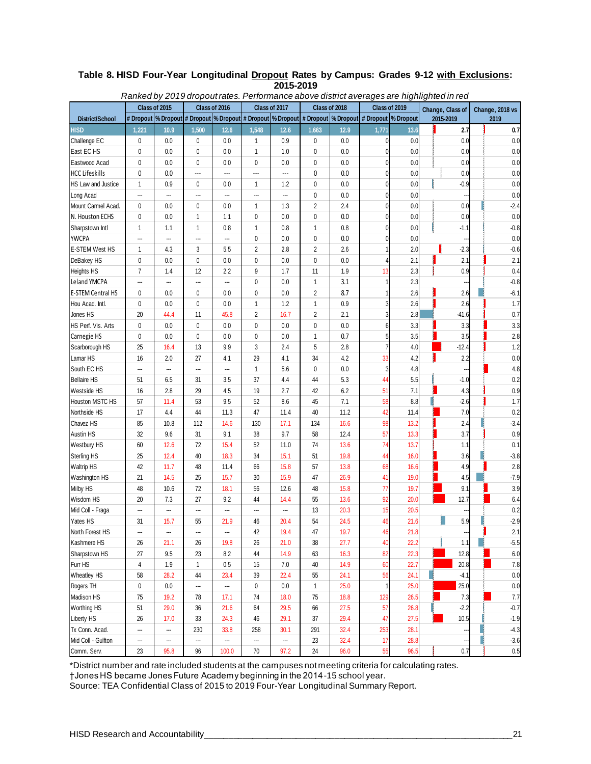#### **Table 8. HISD Four-Year Longitudinal Dropout Rates by Campus: Grades 9-12 with Exclusions: 2015-2019** *Ranked by 2019 dropout rates. Performance above district averages are highlighted in red*

|                          |                         | <u>Ranked by 2019 diopoutrales. Fenomiance above district averages are ingiligined in red</u> |                |                |                |                |                                                                                                                               |      |                |      |                  |                 |  |
|--------------------------|-------------------------|-----------------------------------------------------------------------------------------------|----------------|----------------|----------------|----------------|-------------------------------------------------------------------------------------------------------------------------------|------|----------------|------|------------------|-----------------|--|
| District/School          | Class of 2015           |                                                                                               | Class of 2016  |                | Class of 2017  |                | Class of 2018<br># Dropout  % Dropout  # Dropout  % Dropout  # Dropout  % Dropout  # Dropout  % Dropout  # Dropout  % Dropout |      | Class of 2019  |      | Change, Class of | Change, 2018 vs |  |
|                          |                         |                                                                                               |                |                |                |                |                                                                                                                               |      |                |      | 2015-2019        | 2019            |  |
| <b>HISD</b>              | 1,221                   | 10.9                                                                                          | 1,500          | 12.6           | 1,548          | 12.6           | 1,663                                                                                                                         | 12.9 | 1,771          | 13.6 | 2.7              | 0.7             |  |
| Challenge EC             | 0                       | 0.0                                                                                           | $\mathbf{0}$   | 0.0            | 1              | 0.9            | 0                                                                                                                             | 0.0  | 0              | 0.0  | 0.0              | 0.0             |  |
| East EC HS               | 0                       | 0.0                                                                                           | 0              | 0.0            | 1              | 1.0            | 0                                                                                                                             | 0.0  | 0              | 0.0  | 0.0              | 0.0             |  |
| Eastwood Acad            | 0                       | 0.0                                                                                           | 0              | 0.0            | $\mathbf 0$    | 0.0            | 0                                                                                                                             | 0.0  | 0              | 0.0  | 0.0              | 0.0             |  |
| HCC Lifeskills           | 0                       | 0.0                                                                                           | $\overline{a}$ | $\overline{a}$ | $\overline{a}$ | $\overline{a}$ | 0                                                                                                                             | 0.0  | 0              | 0.0  | 0.0              | 0.0             |  |
| HS Law and Justice       | 1                       | 0.9                                                                                           | 0              | $0.0\,$        | $\mathbf{1}$   | 1.2            | $\pmb{0}$                                                                                                                     | 0.0  | 0              | 0.0  | $-0.9$           | 0.0             |  |
| Long Acad                | ---                     | ---                                                                                           | ---            | ---            | ---            | ---            | 0                                                                                                                             | 0.0  | 0              | 0.0  |                  | 0.0             |  |
| Mount Carmel Acad.       | $\mathbf 0$             | 0.0                                                                                           | $\mathbf 0$    | 0.0            | $\mathbf{1}$   | 1.3            | $\overline{2}$                                                                                                                | 2.4  | 0              | 0.0  | 0.0              | $-2.4$          |  |
| N. Houston ECHS          | 0                       | 0.0                                                                                           | 1              | 1.1            | $\mathbf 0$    | 0.0            | 0                                                                                                                             | 0.0  | 0              | 0.0  | 0.0              | 0.0             |  |
| Sharpstown Intl          | $\mathbf{1}$            | 1.1                                                                                           | $\mathbf{1}$   | 0.8            | $\mathbf{1}$   | 0.8            | 1                                                                                                                             | 0.8  | 0              | 0.0  | $-1.1$           | $-0.8$          |  |
| <b>YWCPA</b>             | ---                     | ---                                                                                           | ---            | ---            | 0              | 0.0            | 0                                                                                                                             | 0.0  | 0              | 0.0  |                  | 0.0             |  |
| E-STEM West HS           | 1                       | 4.3                                                                                           | 3              | 5.5            | $\overline{2}$ | 2.8            | $\overline{2}$                                                                                                                | 2.6  | 1              | 2.0  | $-2.3$           | $-0.6$          |  |
| DeBakey HS               | 0                       | 0.0                                                                                           | 0              | 0.0            | 0              | 0.0            | $\mathbf{0}$                                                                                                                  | 0.0  | 4              | 2.1  | 2.1              | 2.1             |  |
| Heights HS               | $\overline{7}$          | 1.4                                                                                           | 12             | 2.2            | 9              | 1.7            | 11                                                                                                                            | 1.9  | 13             | 2.3  | 0.9              | 0.4             |  |
| Leland YMCPA             | ---                     | ---                                                                                           | ---            | ---            | 0              | 0.0            | $\mathbf{1}$                                                                                                                  | 3.1  | 1              | 2.3  |                  | $-0.8$          |  |
| <b>E-STEM Central HS</b> | 0                       | 0.0                                                                                           | 0              | 0.0            | $\mathbf 0$    | 0.0            | $\overline{2}$                                                                                                                | 8.7  | 1              | 2.6  | 2.6              | $-6.1$          |  |
| Hou Acad. Intl.          | 0                       | 0.0                                                                                           | 0              | 0.0            | $\mathbf{1}$   | 1.2            | $\mathbf{1}$                                                                                                                  | 0.9  | 3              | 2.6  | 2.6              | 1.7             |  |
| Jones HS                 | 20                      | 44.4                                                                                          | 11             | 45.8           | $\overline{2}$ | 16.7           | $\overline{2}$                                                                                                                | 2.1  | 3              | 2.8  | $-41.6$          | 0.7             |  |
| HS Perf. Vis. Arts       | 0                       | 0.0                                                                                           | 0              | 0.0            | 0              | 0.0            | 0                                                                                                                             | 0.0  | 6              | 3.3  | 3.3              | 3.3             |  |
| Carnegie HS              | 0                       | 0.0                                                                                           | 0              | 0.0            | $\mathbf{0}$   | 0.0            | 1                                                                                                                             | 0.7  | 5              | 3.5  | 3.5              | 2.8             |  |
| Scarborough HS           | 25                      | 16.4                                                                                          | 13             | 9.9            | 3              | 2.4            | 5                                                                                                                             | 2.8  | $\overline{7}$ | 4.0  | $-12.4$          | 1.2             |  |
| Lamar HS                 | 16                      | 2.0                                                                                           | 27             | 4.1            | 29             | 4.1            | 34                                                                                                                            | 4.2  | 33             | 4.2  | 2.2              | 0.0             |  |
| South EC HS              | ---                     | ---                                                                                           | ---            | ---            | $\mathbf{1}$   | 5.6            | $\mathbf 0$                                                                                                                   | 0.0  | 3              | 4.8  |                  | 4.8             |  |
| <b>Bellaire HS</b>       | 51                      | 6.5                                                                                           | 31             | 3.5            | 37             | 4.4            | 44                                                                                                                            | 5.3  | 44             | 5.5  | $-1.0$           | 0.2             |  |
| Westside HS              | 16                      | 2.8                                                                                           | 29             | 4.5            | 19             | 2.7            | 42                                                                                                                            | 6.2  | 51             | 7.1  | 4.3              | 0.9             |  |
| Houston MSTC HS          | 57                      | 11.4                                                                                          | 53             | 9.5            | 52             | 8.6            | 45                                                                                                                            | 7.1  | 58             | 8.8  | $-2.6$           | 1.7             |  |
| Northside HS             | 17                      | 4.4                                                                                           | 44             | 11.3           | 47             | 11.4           | 40                                                                                                                            | 11.2 | 42             | 11.4 | 7.0              | 0.2             |  |
| Chavez HS                | 85                      | 10.8                                                                                          | 112            | 14.6           | 130            | 17.1           | 134                                                                                                                           | 16.6 | 98             | 13.2 | 2.4              | $-3.4$          |  |
| Austin HS                | 32                      | 9.6                                                                                           | 31             | 9.1            | 38             | 9.7            | 58                                                                                                                            | 12.4 | 57             | 13.3 | 3.7              | 0.9             |  |
| Westbury HS              | 60                      | 12.6                                                                                          | 72             | 15.4           | 52             | 11.0           | 74                                                                                                                            | 13.6 | 74             | 13.7 | 1.1              | 0.1             |  |
| <b>Sterling HS</b>       | 25                      | 12.4                                                                                          | 40             | 18.3           | 34             | 15.1           | 51                                                                                                                            | 19.8 | 44             | 16.0 | 3.6              | $-3.8$          |  |
| <b>Waltrip HS</b>        | 42                      | 11.7                                                                                          | 48             | 11.4           | 66             | 15.8           | 57                                                                                                                            | 13.8 | 68             | 16.6 | 4.9              | 2.8             |  |
| Washington HS            | 21                      | 14.5                                                                                          | 25             | 15.7           | 30             | 15.9           | 47                                                                                                                            | 26.9 | 41             | 19.0 | 4.5              | $-7.9$          |  |
| Milby HS                 | 48                      | 10.6                                                                                          | 72             | 18.1           | 56             | 12.6           | 48                                                                                                                            | 15.8 | 77             | 19.7 | 9.1              | 3.9             |  |
| Wisdom HS                | 20                      | 7.3                                                                                           | 27             | 9.2            | 44             | 14.4           | 55                                                                                                                            | 13.6 | 92             | 20.0 | 12.7             | 6.4             |  |
| Mid Coll - Fraga         |                         | ---                                                                                           |                |                | ---            | ---            | 13                                                                                                                            | 20.3 | 15             | 20.5 |                  | 0.2             |  |
| Yates HS                 | 31                      | 15.7                                                                                          | 55             | 21.9           | 46             | 20.4           | 54                                                                                                                            | 24.5 | 46             | 21.6 | 5.9              | $-2.9$          |  |
| North Forest HS          | ---                     |                                                                                               | ---            | ---            | 42             | 19.4           | 47                                                                                                                            | 19.7 | 46             | 21.8 |                  | 2.1             |  |
| Kashmere HS              | 26                      | 21.1                                                                                          | 26             | 19.8           | 26             | 21.0           | 38                                                                                                                            | 27.7 | 40             | 22.2 | 1.1              | $-5.5$          |  |
| Sharpstown HS            | 27                      | 9.5                                                                                           | 23             | 8.2            | 44             | 14.9           | 63                                                                                                                            | 16.3 | 82             | 22.3 | 12.8             | 6.0             |  |
| Furr HS                  | $\overline{\mathbf{4}}$ | 1.9                                                                                           | $\mathbf{1}$   | 0.5            | 15             | 7.0            | 40                                                                                                                            | 14.9 | 60             | 22.7 | 20.8             | 7.8             |  |
| Wheatley HS              | 58                      | 28.2                                                                                          | 44             | 23.4           | 39             | 22.4           | 55                                                                                                                            | 24.1 | 56             | 24.1 | $-4.1$           | 0.0             |  |
| Rogers TH                | $\pmb{0}$               | 0.0                                                                                           | ---            |                | 0              | 0.0            | 1                                                                                                                             | 25.0 | 1              | 25.0 | 25.0             | 0.0             |  |
| Madison HS               | 75                      | 19.2                                                                                          | 78             | 17.1           | 74             | 18.0           | 75                                                                                                                            | 18.8 | 129            | 26.5 | 7.3              | 7.7             |  |
| Worthing HS              | 51                      | 29.0                                                                                          | 36             | 21.6           | 64             | 29.5           | 66                                                                                                                            | 27.5 | 57             | 26.8 | $-2.2$           | $-0.7$          |  |
| Liberty HS               | 26                      | 17.0                                                                                          | 33             | 24.3           | 46             | 29.1           | 37                                                                                                                            | 29.4 | 47             | 27.5 | 10.5             | $-1.9$          |  |
| Tx Conn. Acad.           |                         |                                                                                               |                |                |                |                | 291                                                                                                                           |      |                | 28.1 |                  |                 |  |
|                          | ---                     | ---                                                                                           | 230            | 33.8           | 258            | 30.1           | 23                                                                                                                            | 32.4 | 253<br>17      |      |                  | $-4.3$          |  |
| Mid Coll - Gulfton       | ---                     | ---                                                                                           | ---            | ---            |                |                |                                                                                                                               | 32.4 |                | 28.8 |                  | $-3.6$          |  |
| Comm. Serv.              | 23                      | 95.8                                                                                          | 96             | 100.0          | 70             | 97.2           | $24\,$                                                                                                                        | 96.0 | 55             | 96.5 | 0.7              | 0.5             |  |

\*District number and rate included students at the campuses not meeting criteria for calculating rates.

†Jones HS became Jones Future Academy beginning in the 2014-15 school year.

Source: TEA Confidential Class of 2015 to 2019 Four-Year Longitudinal Summary Report.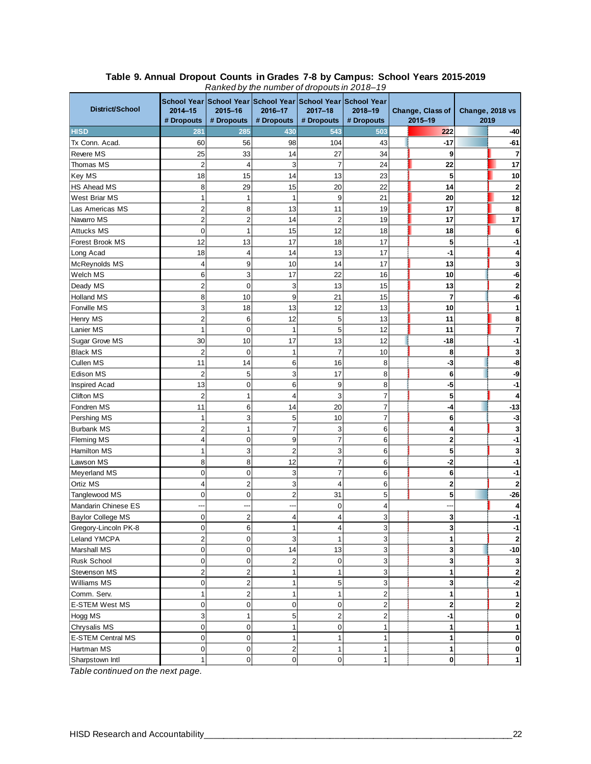|                          |                         |                |                | rankca by the namber of diopodism zo to 15<br>School Year School Year School Year School Year School Year |                |  |                         |                 |                |
|--------------------------|-------------------------|----------------|----------------|-----------------------------------------------------------------------------------------------------------|----------------|--|-------------------------|-----------------|----------------|
| District/School          | $2014 - 15$             | 2015-16        | 2016-17        | $2017 - 18$                                                                                               | 2018-19        |  | Change, Class of        | Change, 2018 vs |                |
|                          | # Dropouts              | # Dropouts     | # Dropouts     | # Dropouts                                                                                                | # Dropouts     |  | 2015-19                 | 2019            |                |
| <b>HISD</b>              | 281                     | 285            | 430            | 543                                                                                                       | 503            |  | 222                     |                 | -40            |
| Tx Conn. Acad.           | 60                      | 56             | 98             | 104                                                                                                       | 43             |  | $-17$                   |                 | $-61$          |
| <b>Revere MS</b>         | 25                      | 33             | 14             | 27                                                                                                        | 34             |  | 9                       |                 | 7              |
| Thomas MS                | $\overline{2}$          | $\overline{4}$ | 3              | $\overline{7}$                                                                                            | 24             |  | 22                      |                 | 17             |
| Key MS                   | 18                      | 15             | 14             | 13                                                                                                        | 23             |  | 5                       |                 | 10             |
| <b>HS Ahead MS</b>       | 8                       | 29             | 15             | 20                                                                                                        | 22             |  | 14                      |                 | 2              |
| West Briar MS            | $\mathbf{1}$            | 1              | $\mathbf{1}$   | 9                                                                                                         | 21             |  | 20                      |                 | 12             |
| Las Americas MS          | $\overline{\mathbf{c}}$ | 8              | 13             | 11                                                                                                        | 19             |  | 17                      |                 | 8              |
| Navarro MS               | $\overline{\mathbf{c}}$ | $\overline{2}$ | 14             | $\overline{2}$                                                                                            | 19             |  | 17                      |                 | 17             |
| <b>Attucks MS</b>        | 0                       | $\mathbf{1}$   | 15             | 12                                                                                                        | 18             |  | 18                      |                 | 6              |
| Forest Brook MS          | 12                      | 13             | 17             | 18                                                                                                        | 17             |  | 5                       |                 |                |
| Long Acad                | 18                      | $\overline{4}$ | 14             | 13                                                                                                        | 17             |  | $-1$                    |                 |                |
| <b>McReynolds MS</b>     | $\overline{\mathbf{4}}$ | 9              | 10             | 14                                                                                                        | 17             |  | 13                      |                 |                |
| Welch MS                 | 6                       | 3              | 17             | 22                                                                                                        | 16             |  | 10                      |                 |                |
| Deady MS                 | $\overline{c}$          | $\mathbf 0$    | 3              | 13                                                                                                        | 15             |  | 13                      |                 |                |
| <b>Holland MS</b>        | 8                       | 10             | 9              | 21                                                                                                        | 15             |  | 7                       |                 |                |
| Fonville MS              | 3                       | 18             | 13             | 12                                                                                                        | 13             |  | 10                      |                 |                |
| Henry MS                 | $\overline{\mathbf{c}}$ | 6              | 12             | 5                                                                                                         | 13             |  | 11                      |                 |                |
| Lanier MS                | 1                       | $\mathbf 0$    | $\mathbf{1}$   | 5                                                                                                         | 12             |  | 11                      |                 |                |
| Sugar Grove MS           | 30                      | 10             | 17             | 13                                                                                                        | 12             |  | $-18$                   |                 |                |
| <b>Black MS</b>          | $\overline{2}$          | $\mathbf 0$    | $\mathbf{1}$   | $\overline{7}$                                                                                            | 10             |  | 8                       |                 |                |
| Cullen MS                | 11                      | 14             | 6              | 16                                                                                                        | 8              |  | $-3$                    |                 |                |
| Edison MS                | $\overline{\mathbf{c}}$ | 5              | 3              | 17                                                                                                        | 8              |  | 6                       |                 | -9             |
| <b>Inspired Acad</b>     | 13                      | $\mathbf 0$    | 6              | 9                                                                                                         | 8              |  | $-5$                    |                 |                |
| <b>Clifton MS</b>        | $\overline{c}$          | $\mathbf{1}$   | 4              | 3                                                                                                         | $\overline{7}$ |  | 5                       |                 |                |
| Fondren MS               | 11                      | 6              | 14             | 20                                                                                                        | $\overline{7}$ |  | -4                      |                 | $-13$          |
| Pershing MS              | 1                       | 3              | 5              | 10                                                                                                        | $\overline{7}$ |  | 6                       |                 | -3             |
| <b>Burbank MS</b>        | $\overline{\mathbf{c}}$ | $\mathbf{1}$   | $\overline{7}$ | 3                                                                                                         | 6              |  | 4                       |                 |                |
| <b>Fleming MS</b>        | 4                       | $\mathbf 0$    | 9              | $\overline{7}$                                                                                            | 6              |  | $\overline{2}$          |                 |                |
| Hamilton MS              | 1                       | 3              | $\overline{2}$ | 3                                                                                                         | 6              |  | 5                       |                 |                |
| Lawson MS                | 8                       | 8              | 12             | 7                                                                                                         | 6              |  | -2                      |                 |                |
| Meyerland MS             | 0                       | $\mathbf 0$    | 3              | $\overline{7}$                                                                                            | 6              |  | 6                       |                 |                |
| Ortiz MS                 | 4                       | $\overline{c}$ | 3              | 4                                                                                                         | 6              |  | $\overline{\mathbf{2}}$ |                 |                |
| Tanglewood MS            | 0                       | $\mathbf 0$    | $\overline{2}$ | 31                                                                                                        | 5              |  | 5                       |                 | $-26$          |
| Mandarin Chinese ES      |                         |                |                | 0                                                                                                         | 4              |  |                         |                 |                |
| <b>Baylor College MS</b> | 0                       | $\overline{c}$ | 4              | 4                                                                                                         | 3              |  | 3                       |                 | -1             |
| Gregory-Lincoln PK-8     | 0                       | 6              | 1              | 4                                                                                                         | 3              |  | 3                       |                 | -1             |
| Leland YMCPA             | $\overline{c}$          | $\mathbf 0$    | $\mathbf{3}$   | $\mathbf{1}$                                                                                              | $\mathsf 3$    |  | $\mathbf{1}$            |                 | $\overline{2}$ |
| Marshall MS              | 0                       | $\mathbf 0$    | 14             | 13                                                                                                        | 3              |  | 3                       |                 | $-10$          |
| Rusk School              | 0                       | $\mathbf 0$    | $\overline{a}$ | $\mathbf 0$                                                                                               | 3              |  | 3                       |                 | 3              |
| Stevenson MS             | $\overline{c}$          | $\overline{c}$ | 1              | 1                                                                                                         | 3              |  | 1                       |                 | 2              |
| Williams MS              | 0                       | $\overline{2}$ | $\mathbf{1}$   | 5                                                                                                         | 3              |  | 3                       |                 | -2             |
| Comm. Serv.              | $\mathbf{1}$            | $\overline{c}$ | $\mathbf{1}$   | 1                                                                                                         | $\overline{c}$ |  | 1                       |                 | 1              |
| <b>E-STEM West MS</b>    | 0                       | $\mathbf 0$    | $\mathbf 0$    | $\mathbf 0$                                                                                               | $\overline{c}$ |  | $\mathbf 2$             |                 | 2              |
| Hogg MS                  | 3                       | $\mathbf{1}$   | 5              | $\overline{2}$                                                                                            | $\overline{c}$ |  | -1                      |                 | 0              |
| Chrysalis MS             | 0                       | $\mathbf 0$    | $\mathbf{1}$   | $\overline{0}$                                                                                            | 1              |  | 1                       |                 | 1              |
| <b>E-STEM Central MS</b> | 0                       | $\mathbf 0$    | $\mathbf{1}$   | $\mathbf{1}$                                                                                              | 1              |  | 1                       |                 | 0              |
| Hartman MS               | 0                       | $\mathbf 0$    | $\overline{c}$ | 1                                                                                                         | $\mathbf{1}$   |  | 1                       |                 | 0              |
| Sharpstown Intl          | 1                       | $\pmb{0}$      | $\mathbf 0$    | $\overline{0}$                                                                                            | $\mathbf{1}$   |  | 0                       |                 | 1              |
|                          |                         |                |                |                                                                                                           |                |  |                         |                 |                |

#### **Table 9. Annual Dropout Counts in Grades 7-8 by Campus: School Years 2015-2019** *Ranked by the number of dropouts in 2018–19*

*Table continued on the next page.*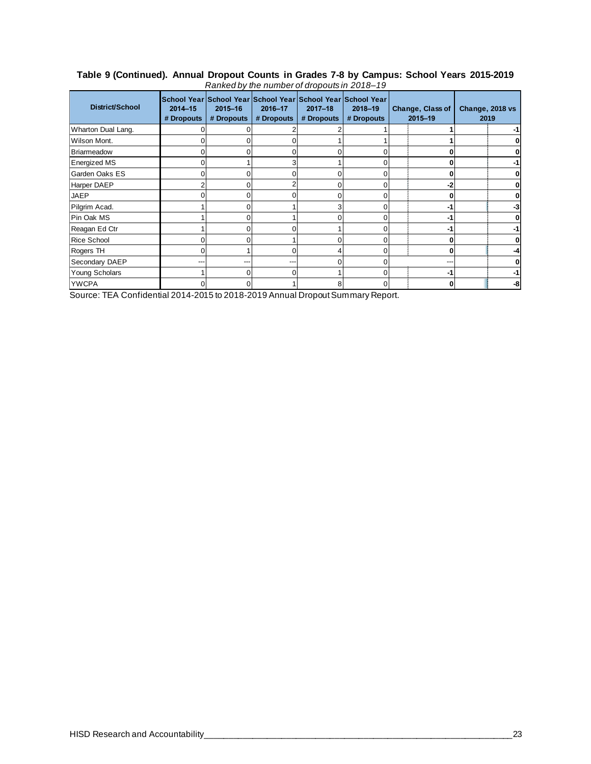#### **Table 9 (Continued). Annual Dropout Counts in Grades 7-8 by Campus: School Years 2015-2019** *Ranked by the number of dropouts in 2018–19*

| <b>District/School</b> | School Year School Year School Year School Year School Year<br>$2014 - 15$<br># Dropouts | 2015-16<br># Dropouts | 2016-17<br># Dropouts | $2017 - 18$<br># Dropouts | 2018-19<br># Dropouts | Change, Class of<br>$2015 - 19$ | Change, 2018 vs<br>2019 |
|------------------------|------------------------------------------------------------------------------------------|-----------------------|-----------------------|---------------------------|-----------------------|---------------------------------|-------------------------|
| Wharton Dual Lang.     |                                                                                          |                       |                       |                           |                       |                                 | $-1$                    |
| Wilson Mont.           |                                                                                          |                       |                       |                           |                       |                                 | 0                       |
| Briarmeadow            |                                                                                          |                       |                       |                           |                       |                                 | 0                       |
| <b>Energized MS</b>    |                                                                                          |                       |                       |                           |                       |                                 | $-1$                    |
| Garden Oaks ES         | o                                                                                        |                       |                       |                           |                       |                                 | 0                       |
| <b>Harper DAEP</b>     |                                                                                          |                       |                       |                           |                       | -2                              | 0                       |
| <b>JAEP</b>            |                                                                                          |                       |                       |                           |                       |                                 | 0                       |
| Pilgrim Acad.          |                                                                                          |                       |                       |                           |                       | -1                              | -3                      |
| Pin Oak MS             |                                                                                          |                       |                       |                           |                       | -1                              | 0                       |
| Reagan Ed Ctr          |                                                                                          |                       |                       |                           |                       | -1                              | $-1$                    |
| <b>Rice School</b>     | O                                                                                        |                       |                       |                           |                       |                                 | 0                       |
| Rogers TH              | ∩                                                                                        |                       |                       |                           |                       |                                 | $-4$                    |
| Secondary DAEP         |                                                                                          | ---                   |                       |                           |                       |                                 | 0                       |
| Young Scholars         |                                                                                          |                       |                       |                           |                       | -1                              | $-1$                    |
| <b>YWCPA</b>           |                                                                                          |                       |                       |                           |                       |                                 | -8                      |

Source: TEA Confidential 2014-2015 to 2018-2019 Annual Dropout Summary Report.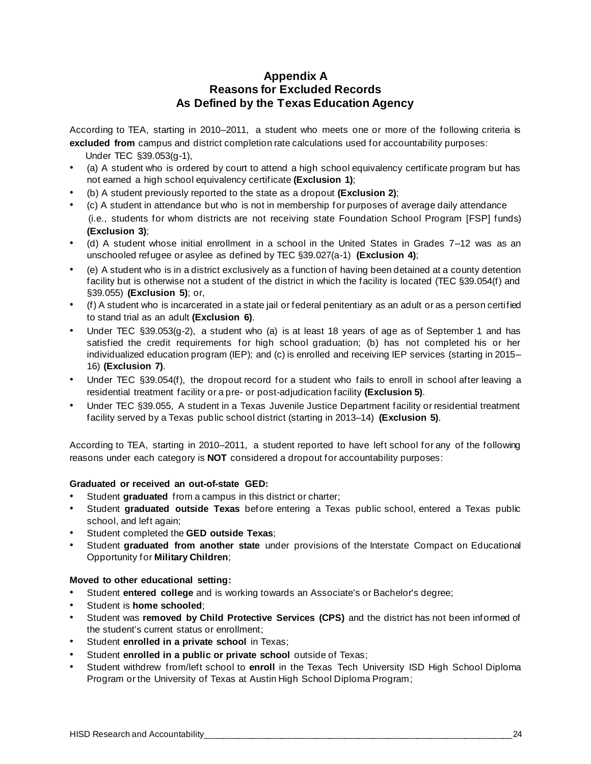#### **Appendix A Reasons for Excluded Records As Defined by the Texas Education Agency**

According to TEA, starting in 2010–2011, a student who meets one or more of the following criteria is **excluded from** campus and district completion rate calculations used for accountability purposes:

- Under TEC §39.053(g-1),
- (a) A student who is ordered by court to attend a high school equivalency certificate program but has not earned a high school equivalency certificate **(Exclusion 1)**;
- (b) A student previously reported to the state as a dropout **(Exclusion 2)**;
- (c) A student in attendance but who is not in membership for purposes of average daily attendance (i.e., students for whom districts are not receiving state Foundation School Program [FSP] funds) **(Exclusion 3)**;
- (d) A student whose initial enrollment in a school in the United States in Grades 7–12 was as an unschooled refugee or asylee as defined by TEC §39.027(a-1) **(Exclusion 4)**;
- (e) A student who is in a district exclusively as a function of having been detained at a county detention facility but is otherwise not a student of the district in which the facility is located (TEC §39.054(f) and §39.055) **(Exclusion 5)**; or,
- (f) A student who is incarcerated in a state jail or federal penitentiary as an adult or as a person certified to stand trial as an adult **(Exclusion 6)**.
- Under TEC §39.053(g-2), a student who (a) is at least 18 years of age as of September 1 and has satisfied the credit requirements for high school graduation; (b) has not completed his or her individualized education program (IEP); and (c) is enrolled and receiving IEP services (starting in 2015– 16) **(Exclusion 7)**.
- Under TEC §39.054(f), the dropout record for a student who fails to enroll in school after leaving a residential treatment facility or a pre- or post-adjudication facility **(Exclusion 5)**.
- Under TEC §39.055, A student in a Texas Juvenile Justice Department facility or residential treatment facility served by a Texas public school district (starting in 2013–14) **(Exclusion 5)**.

According to TEA, starting in 2010–2011, a student reported to have left school for any of the following reasons under each category is **NOT** considered a dropout for accountability purposes:

#### **Graduated or received an out-of-state GED:**

- Student **graduated** from a campus in this district or charter;
- Student **graduated outside Texas** before entering a Texas public school, entered a Texas public school, and left again;
- Student completed the **GED outside Texas**;
- Student **graduated from another state** under provisions of the Interstate Compact on Educational Opportunity for **Military Children**;

#### **Moved to other educational setting:**

- Student **entered college** and is working towards an Associate's or Bachelor's degree;
- Student is **home schooled**;
- Student was **removed by Child Protective Services (CPS)** and the district has not been informed of the student's current status or enrollment;
- Student **enrolled in a private school** in Texas;
- Student **enrolled in a public or private school** outside of Texas;
- Student withdrew from/left school to **enroll** in the Texas Tech University ISD High School Diploma Program or the University of Texas at Austin High School Diploma Program;